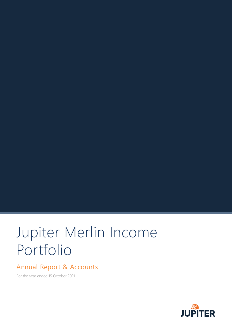# Jupiter Merlin Income Portfolio

## Annual Report & Accounts

For the year ended 15 October 2021

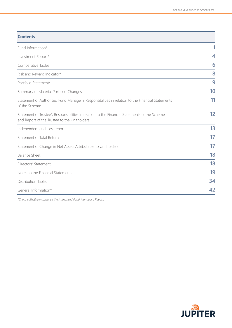| <b>Contents</b>                                                                                                                               |    |
|-----------------------------------------------------------------------------------------------------------------------------------------------|----|
| Fund Information*                                                                                                                             |    |
| Investment Report*                                                                                                                            | 4  |
| Comparative Tables                                                                                                                            | 6  |
| Risk and Reward Indicator*                                                                                                                    | 8  |
| Portfolio Statement*                                                                                                                          | 9  |
| Summary of Material Portfolio Changes                                                                                                         | 10 |
| Statement of Authorised Fund Manager's Responsibilities in relation to the Financial Statements<br>of the Scheme                              | 11 |
| Statement of Trustee's Responsibilities in relation to the Financial Statements of the Scheme<br>and Report of the Trustee to the Unitholders | 12 |
| Independent auditors' report                                                                                                                  | 13 |
| Statement of Total Return                                                                                                                     | 17 |
| Statement of Change in Net Assets Attributable to Unitholders                                                                                 | 17 |
| <b>Balance Sheet</b>                                                                                                                          | 18 |
| Directors' Statement                                                                                                                          | 18 |
| Notes to the Financial Statements                                                                                                             | 19 |
| Distribution Tables                                                                                                                           | 34 |
| General Information*                                                                                                                          | 42 |

*[\\*These collectively comprise the Authorised Fund Manager's Report.](#page-44-0)*

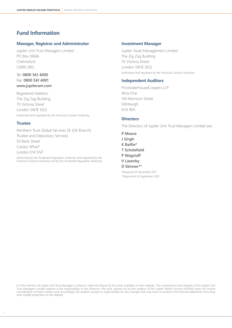## <span id="page-3-0"></span>**Fund Information**

### **Manager, Registrar and Administrator**

Jupiter Unit Trust Managers Limited PO Box 10666 Chelmsford CM99 2BG

Tel: **0800 561 4000**  Fax: **0800 561 4001 www.jupiteram.com**

Registered Address: The Zig Zag Building 70 Victoria Street London SW1E 6SQ *Authorised and regulated by the Financial Conduct Authority.* 

#### **Trustee**

Northern Trust Global Services SE (UK Branch) Trustee and Depositary Services 50 Bank Street Canary Wharf London E14 5NT

*Authorised by the Prudential Regulation Authority and regulated by the Financial Conduct Authority and by the Prudential Regulation Authority.*

#### **Investment Manager**

Jupiter Asset Management Limited The Zig Zag Building 70 Victoria Street London SW1E 6SQ *Authorised and regulated by the Financial Conduct Authority.* 

#### **Independent Auditors**

PricewaterhouseCoopers LLP Atria One 144 Morrison Street **Edinburgh** EH3 8EX

### **Directors**

The Directors of Jupiter Unit Trust Managers Limited are:

- **P Moore J Singh K Baillie\* T Scholefield**
- **P Wagstaff**
- **V Lazenby**
- **D Skinner\*\***

*\*Resigned 29 November 2021 \*\*Appointed 24 September 2021*

It is the intention of Jupiter Unit Trust Managers Limited to make this Report & Accounts available on their website. The maintenance and integrity of the Jupiter Unit Trust Managers Limited website is the responsibility of the Directors; the work carried out by the auditors of the Jupiter Merlin Income Portfolio does not involve consideration of these matters and, accordingly, the auditors accept no responsibility for any changes that may have occurred to the financial statements since they were initially presented on the website.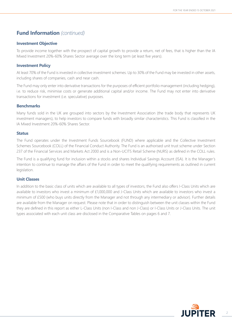## **Fund Information** *(continued)*

### **Investment Objective**

To provide income together with the prospect of capital growth to provide a return, net of fees, that is higher than the IA Mixed Investment 20%-60% Shares Sector average over the long term (at least five years).

### **Investment Policy**

At least 70% of the Fund is invested in collective investment schemes. Up to 30% of the Fund may be invested in other assets, including shares of companies, cash and near cash.

The Fund may only enter into derivative transactions for the purposes of efficient portfolio management (including hedging), i.e. to reduce risk, minimise costs or generate additional capital and/or income. The Fund may not enter into derivative transactions for investment (i.e. speculative) purposes.

### **Benchmarks**

Many funds sold in the UK are grouped into sectors by the Investment Association (the trade body that represents UK investment managers), to help investors to compare funds with broadly similar characteristics. This Fund is classified in the IA Mixed Investment 20%-60% Shares Sector.

### **Status**

The Fund operates under the Investment Funds Sourcebook (FUND) where applicable and the Collective Investment Schemes Sourcebook (COLL) of the Financial Conduct Authority. The Fund is an authorised unit trust scheme under Section 237 of the Financial Services and Markets Act 2000 and is a Non-UCITS Retail Scheme (NURS) as defined in the COLL rules.

The Fund is a qualifying fund for inclusion within a stocks and shares Individual Savings Account (ISA). It is the Manager's intention to continue to manage the affairs of the Fund in order to meet the qualifying requirements as outlined in current legislation.

### **Unit Classes**

In addition to the basic class of units which are available to all types of investors, the Fund also offers I-Class Units which are available to investors who invest a minimum of £1,000,000 and J-Class Units which are available to investors who invest a minimum of £500 (who buys units directly from the Manager and not through any intermediary or advisor). Further details are available from the Manager on request. Please note that in order to distinguish between the unit classes within the Fund they are defined in this report as either L-Class Units (non I-Class and non J-Class) or I-Class Units or J-Class Units. The unit types associated with each unit class are disclosed in the Comparative Tables on pages 6 and 7.

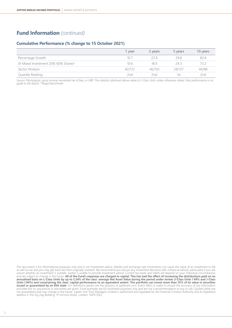### **Fund Information** *(continued)*

### **Cumulative Performance (% change to 15 October 2021)**

|                                     | l vear | 3 years | 5 years | 10 years |
|-------------------------------------|--------|---------|---------|----------|
| Percentage Growth                   | 10.7   | 224     | 298     | 82.8     |
| IA Mixed Investment 20%-60% Shares* | 10.6   | 189     | 243     | 73.2     |
| Sector Position                     | 82/172 | 46/150  | 28/137  | 44/88    |
| Quartile Ranking                    | 2nd    | 2nd.    | 1st     | 2nd      |

*Source: Morningstar, gross income reinvested net of fees, in GBP. The statistics disclosed above relate to I-Class Units unless otherwise stated. Past performance is no guide to the future. \*Target benchmark*

This document is for informational purposes only and is not investment advice. Market and exchange rate movements can cause the value of an investment to fall as well as rise and you may get back less than originally invested. We recommend you discuss any investment decisions with a financial adviser, particularly if you are unsure whether an investment is suitable. Jupiter is unable to provide investment advice. Current tax levels and reliefs will depend on your individual circumstances and are subject to change in the future. **All of the Fund's expenses are charged to capital. This has had the effect of increasing the distributions paid on an annualised basis on L-Class Units by up to 2.24% of the class' average Net Asset Value during the period under review (I-Class Units 1.49% and J-Class Units 1.94%) and constraining the class' capital performance to an equivalent extent. This portfolio can invest more than 35% of its value in securities<br>issued or guaranteed by an EEA state. For definitions please see the** not guaranteed and may change in the future. Jupiter Unit Trust Managers Limited is authorised and regulated by the Financial Conduct Authority and its registered address is The Zig Zag Building, 70 Victoria Street, London, SW1E 6SQ.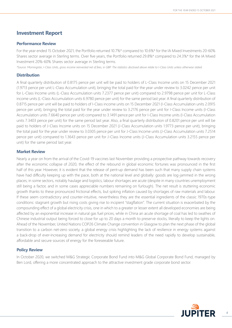### <span id="page-6-0"></span>**Investment Report**

### **Performance Review**

For the year ended 15 October 2021, the Portfolio returned 10.7%\* compared to 10.6%\* for the IA Mixed Investments 20-60% Shares sector average in Sterling terms. Over five years, the Portfolio returned 29.8%\* compared to 24.3%\* for the IA Mixed Investment 20%-60% Shares sector average in Sterling terms.

*\*Source: Morningstar, I-Class Units, gross income reinvested net of fees, in GBP. The statistics disclosed above relate to I-Class Units unless otherwise stated.*

### **Distribution**

A final quarterly distribution of 0.8175 pence per unit will be paid to holders of L-Class Income units on 15 December 2021 (1.9713 pence per unit L-Class Accumulation unit), bringing the total paid for the year under review to 3.0242 pence per unit for L-Class Income units (L-Class Accumulation units 7.2377 pence per unit) compared to 2.9798 pence per unit for L-Class income units (L-Class Accumulation units 6.9780 pence per unit) for the same period last year. A final quarterly distribution of 0.8715 pence per unit will be paid to holders of I-Class income units on 15 December 2021 (I-Class Accumulation units 2.0915 pence per unit), bringing the total paid for the year under review to 3.2176 pence per unit for I-Class Income units (I-Class Accumulation units 7.6640 pence per unit) compared to 3.1491 pence per unit for I-Class Income units (I-Class Accumulation units 7.3403 pence per unit) for the same period last year. Also, a final quarterly distribution of 0.8201 pence per unit will be paid to holders of J-Class Income units on 15 December 2021 (J-Class Accumulation units 1.9773 pence per unit), bringing the total paid for the year under review to 3.0305 pence per unit for J-Class Income units (J-Class Accumulation units 7.2514 pence per unit) compared to 1.3643 pence per unit for J-Class Income units (J-Class Accumulation units 3.2155 pence per unit) for the same period last year.

### **Market Review**

Nearly a year on from the arrival of the Covid-19 vaccines last November providing a prospective pathway towards recovery after the economic collapse of 2020, the effect of the rebound in global economic fortunes was pronounced in the first half of this year. However, it is evident that the release of pent-up demand has been such that many supply chain systems have had difficulty keeping up with the pace, both at the national level and globally: goods are log-jammed in the wrong places; in some sectors, notably haulage and logistics, labour shortages are acute (despite in many countries unemployment still being a factor, and in some cases appreciable numbers remaining on furlough). The net result is stuttering economic growth thanks to these pronounced frictional effects, but spiking inflation caused by shortages of raw materials and labour. If these seem contradictory and counter-intuitive, nevertheless they are the essential ingredients of the classic 1970s-type conditions: stagnant growth but rising costs giving rise to incipient "stagflation". The current situation is exacerbated by the compounding effect of a global electricity crisis, one in which to a greater or lesser extent all developed economies are being affected by an exponential increase in natural gas fuel prices, while in China an acute shortage of coal has led to swathes of Chinese industrial output being forced to close for up to 20 days a month to preserve stocks, literally to keep the lights on. Ahead of the November, United Nations COP26 Climate Change convention in Glasgow to plan the next phase of the global transition to a carbon net-zero society, a global energy crisis highlighting the lack of resilience in energy systems against a back-drop of ever-increasing demand for electricity should remind leaders of the need rapidly to develop sustainable, affordable and secure sources of energy for the foreseeable future.

### **Policy Review**

In October 2020, we switched M&G Strategic Corporate Bond Fund into M&G Global Corporate Bond Fund, managed by Ben Lord, offering a more concentrated approach to the attractive investment grade corporate bond sector.

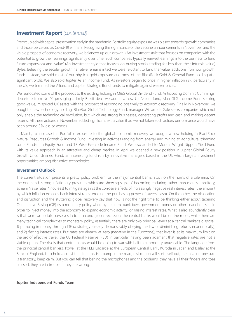### **Investment Report** *(continued)*

Preoccupied with capital preservation early in the pandemic, Portfolio equity exposure was biased towards 'growth' companies and those perceived as Covid-19 winners. Recognising the significance of the vaccine announcements in November and the visible prospect of economic recovery, we balanced up our 'growth' (An investment style that focuses on companies with the potential to grow their earnings significantly over time. Such companies typically reinvest earnings into the business to fund future expansion) and 'value' (An Investment style that focuses on buying stocks trading for less than their intrinsic value) styles. Believing the secular growth narrative remains intact we were reluctant to fund the 'value' additions from our 'growth' funds. Instead, we sold most of our physical gold exposure and most of the BlackRock Gold & General Fund holding at a significant profit. We also sold Jupiter Asian Income Fund. As investors began to price in higher inflation risk, particularly in the US, we trimmed the Allianz and Jupiter Strategic Bond funds to mitigate against weaker prices.

We reallocated some of the proceeds to the existing holding in M&G Global Dividend Fund. Anticipating Dominic Cummings' departure from No 10 presaging a likely Brexit deal, we added a new UK 'value' fund, Man GLG Income Fund seeking good-value, mispriced UK assets with the prospect of responding positively to economic recovery. Finally in November, we bought a new technology holding, BlueBox Global Technology Fund; manager William de Gale seeks companies which not only enable the technological revolution, but which are strong businesses, generating profits and cash and making decent returns. All these actions in November added significant extra value (had we not taken such action, performance would have been around 3% less or worse).

In March, to increase the Portfolio's exposure to the global economic recovery we bought a new holding in BlackRock Natural Resources Growth & Income Fund, investing in activities ranging from energy and mining to agriculture, trimming some Fundsmith Equity Fund and TB Wise Evenlode Income Fund. We also added to Morant Wright Nippon Yield Fund with its value approach in an attractive and cheap market. In April we opened a new position in Jupiter Global Equity Growth Unconstrained Fund, an interesting fund run by innovative managers based in the US which targets investment opportunities among disruptive technologies.

### **Investment Outlook**

The current situation presents a pretty policy problem for the major central banks, stuck on the horns of a dilemma. On the one hand, strong inflationary pressures which are showing signs of becoming enduring rather than merely transitory, scream "raise rates!", not least to mitigate against the corrosive effects of increasingly negative real interest rates (the amount by which inflation exceeds bank interest rates, eroding the purchasing power of savers' cash). On the other, the dislocation and disruption and the stuttering global recovery say that now is not the right time to be thinking either about tapering Quantitative Easing (QE) (is a monetary policy whereby a central bank buys government bonds or other financial assets in order to inject money into the economy to expand economic activity) or raising interest rates. What is also abundantly clear is that were we to talk ourselves in to a second global recession, the central banks would be on the ropes; while there are many technical complexities to monetary policy, essentially there are only two principal levers at a central banker's disposal: 1) pumping in money through QE (a strategy already demonstrably obeying the law of diminishing returns economically), and 2) flexing interest rates. But rates are already at zero (negative in the Eurozone); that lever is at its maximum limit on the arc of effective travel, the US Federal Reserve (FED) in particular having been adamant that negative rates are not a viable option. The risk is that central banks would be going to war with half their armoury unavailable. The language from the principal central bankers, Powell at the FED, Lagarde at the European Central Bank, Kuroda in Japan and Bailey at the Bank of England, is to hold a consistent line: this is a bump in the road, dislocation will sort itself out, the inflation pressure is transitory; keep calm. But you can tell that behind the microphones and the podiums, they have all their fingers and toes crossed; they are in trouble if they are wrong.

**Jupiter Independent Funds Team**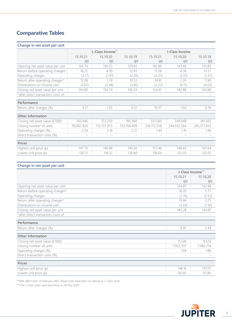## <span id="page-8-0"></span>**Comparative Tables**

### **Change in net asset per unit**

|                                     | L-Class Income**              |                 |                 | I-Class Income           |                 |                 |
|-------------------------------------|-------------------------------|-----------------|-----------------|--------------------------|-----------------|-----------------|
|                                     | 15.10.21<br>(p)               | 15.10.20<br>(p) | 15.10.19<br>(p) | 15.10.21<br>(p)          | 15.10.20<br>(p) | 15.10.19<br>(p) |
| Opening net asset value per unit    | 134.74                        | 136.33          | 129.65          | 142.88                   | 143.68          | 135.83          |
| Return before operating charges*    | 16.25                         | 4.30            | 12.83           | 17.06                    | 4.36            | 13.27           |
| Operating charges                   | (3.17)                        | (2.91)          | (2.30)          | (2.25)                   | (2.01)          | (1.37)          |
| Return after operating charges*     | 13.08                         | 1.39            | 10.53           | 14.81                    | 2.35            | 11.90           |
| Distributions on income unit        | (3.02)                        | (2.98)          | (3.85)          | (3.22)                   | (3.15)          | (4.05)          |
| Closing net asset value per unit    | 144.80                        | 134.74          | 136.33          | 154.47                   | 142.88          | 143.68          |
| *after direct transaction costs of: | $\overbrace{\phantom{12332}}$ |                 |                 | $\qquad \qquad$          |                 |                 |
| Performance                         |                               |                 |                 |                          |                 |                 |
| Return after charges (%)            | 9.71                          | 1.02            | 8.12            | 10.37                    | 1.64            | 8.76            |
| Other Information                   |                               |                 |                 |                          |                 |                 |
| Closing net asset value (£'000)     | 143,446                       | 153,250         | 182,360         | 337,001                  | 349,948         | 381,502         |
| Closing number of units             | 99,067,924                    | 113,737,973     | 133,766,409     | 218,172,558              | 244,932,564     | 265,517,653     |
| Operating charges (%)               | 2.24                          | 2.16            | 2.21            | 1.49                     | 1.41            | 1.46            |
| Direct transaction costs (%)        |                               |                 |                 | $\overline{\phantom{0}}$ |                 |                 |
| Prices                              |                               |                 |                 |                          |                 |                 |
| Highest unit price (p)              | 147.70                        | 140.88          | 140.26          | 157.46                   | 148.65          | 147.64          |
| Lowest unit price (p)               | 130.71                        | 118.33          | 126.84          | 138.64                   | 125.03          | 133.05          |

### **Change in net asset per unit**

|                                     | J-Class Income***        |           |
|-------------------------------------|--------------------------|-----------|
|                                     | 15.10.21                 | 15.10.20  |
|                                     | (p)                      | (p)       |
| Opening net asset value per unit    | 134.87                   | 132.98    |
| Return before operating charges*    | 16.20                    | 5.77      |
| Operating charges                   | (2.76)                   | (2.52)    |
| Return after operating charges*     | 13.44                    | 3.25      |
| Distributions on income unit        | (3.03)                   | (1.36)    |
| Closing net asset value per unit    | 145.28                   | 134.87    |
| *after direct transaction costs of: | $\overline{\phantom{a}}$ |           |
| Performance                         |                          |           |
| Return after charges (%)            | 9.97                     | 2.44      |
| <b>Other Information</b>            |                          |           |
| Closing net asset value $(E'000)$   | 11,526                   | 9,526     |
| Closing number of units             | 7,933,707                | 7,062,714 |
| Operating charges (%)               | 1.94                     | 1.86      |
| Direct transaction costs (%)        | $\overline{\phantom{a}}$ |           |
| Prices                              |                          |           |
| Highest unit price (p)              | 148.16                   | 137.07    |
| Lowest unit price (p)               | 130.85                   | 131.85    |

*\*\*With effect from 15 February 2021, Retail Units have been re-named as L-Class Units.*

*\*\*\*The J-Class Units were launched on 29 May 2020.*

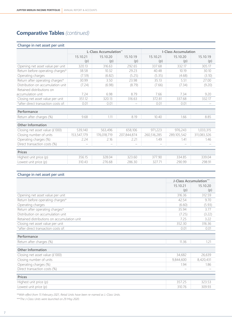## **Comparative Tables** *(continued)*

| Change in net asset per unit                   |                        |                 |                 |                             |                 |                 |  |
|------------------------------------------------|------------------------|-----------------|-----------------|-----------------------------|-----------------|-----------------|--|
|                                                | L-Class Accumulation** |                 |                 | <b>I-Class Accumulation</b> |                 |                 |  |
|                                                | 15.10.21<br>(p)        | 15.10.20<br>(p) | 15.10.19<br>(p) | 15.10.21<br>(p)             | 15.10.20<br>(p) | 15.10.19<br>(p) |  |
| Opening net asset value per unit               | 320.13                 | 316.63          | 292.65          | 337.68                      | 332.17          | 305.17          |  |
| Return before operating charges*               | 38.58                  | 10.32           | 29.23           | 40.48                       | 10.19           | 30.10           |  |
| Operating charges                              | (7.59)                 | (6.82)          | (5.25)          | (5.35)                      | (4.68)          | (3.10)          |  |
| Return after operating charges*                | 30.99                  | 3.50            | 23.98           | 35.13                       | 5.51            | 27.00           |  |
| Distribution on accumulation unit              | (7.24)                 | (6.98)          | (8.79)          | (7.66)                      | (7.34)          | (9.20)          |  |
| Retained distributions on<br>accumulation unit | 7.24                   | 6.98            | 8.79            | 7.66                        | 7.34            | 9.20            |  |
| Closing net asset value per unit               | 351.12                 | 320.13          | 316.63          | 372.81                      | 337.68          | 332.17          |  |
| *after direct transaction costs of:            | 0.01                   | 0.01            |                 | 0.01                        | 0.01            |                 |  |
| Performance                                    |                        |                 |                 |                             |                 |                 |  |
| Return after charges (%)                       | 9.68                   | 1.11            | 8.19            | 10.40                       | 1.66            | 8.85            |  |
| <b>Other Information</b>                       |                        |                 |                 |                             |                 |                 |  |
| Closing net asset value $(E'000)$              | 539,140                | 563,496         | 658,106         | 971,223                     | 976,243         | 1,033,315       |  |
| Closing number of units                        | 153,547,179            | 176,018,719     | 207,844,874     | 260,516,285                 | 289,105,542     | 311,083,326     |  |
| Operating charges (%)                          | 2.24                   | 2.16            | 2.21            | 1.49                        | 1.41            | 1.46            |  |
| Direct transaction costs (%)                   | -                      |                 |                 | $\overline{\phantom{0}}$    | -               |                 |  |
| Prices                                         |                        |                 |                 |                             |                 |                 |  |
| Highest unit price (p)                         | 356.15                 | 328.04          | 323.60          | 377.90                      | 334.85          | 339.04          |  |
| Lowest unit price (p)                          | 310.43                 | 276.68          | 286.30          | 327.71                      | 290.99          | 298.91          |  |

### **Change in net asset per unit**

|                                             | J-Class Accumulation*** |                 |
|---------------------------------------------|-------------------------|-----------------|
|                                             | 15.10.21<br>(p)         | 15.10.20<br>(p) |
| Opening net asset value per unit            | 316.36                  | 312.59          |
| Return before operating charges*            | 42.54                   | 9.70            |
| Operating charges                           | (6.60)                  | (5.93)          |
| Return after operating charges*             | 35.94                   | 3.77            |
| Distribution on accumulation unit           | (7.25)                  | (3.22)          |
| Retained distributions on accumulation unit | 7.25                    | 3.22            |
| Closing net asset value per unit            | 352.30                  | 316.36          |
| *after direct transaction costs of:         | 0.01                    | 0.01            |
| Performance                                 |                         |                 |
| Return after charges (%)                    | 11.36                   | 1.21            |
| <b>Other Information</b>                    |                         |                 |
| Closing net asset value (£'000)             | 34,682                  | 26,639          |
| Closing number of units                     | 9,844,600               | 8,420,431       |
| Operating charges (%)                       | 1.94                    | 1.86            |
| Direct transaction costs (%)                |                         |                 |
| Prices                                      |                         |                 |
| Highest unit price (p)                      | 357.25                  | 323.53          |
| Lowest unit price (p)                       | 310.76                  | 309.93          |

*\*\*With effect from 15 February 2021, Retail Units have been re-named as L-Class Units. \*\*\*The J-Class Units were launched on 29 May 2020.*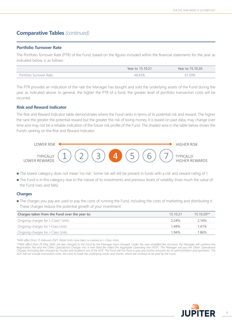## <span id="page-10-0"></span>**Comparative Tables** *(continued)*

### **Portfolio Turnover Rate**

The Portfolio Turnover Rate (PTR) of the Fund, based on the figures included within the financial statements for the year as indicated below, is as follows:

|                         | Year to 15,10.21 | Year to 15,10.20 |
|-------------------------|------------------|------------------|
| Portfolio Turnover Rate | 48.83%           | 67.09%           |

The PTR provides an indication of the rate the Manager has bought and sold the underlying assets of the Fund during the year as indicated above. In general, the higher the PTR of a fund, the greater level of portfolio transaction costs will be incurred.

### **Risk and Reward Indicator**

The Risk and Reward Indicator table demonstrates where the Fund ranks in terms of its potential risk and reward. The higher the rank the greater the potential reward but the greater the risk of losing money. It is based on past data, may change over time and may not be a reliable indication of the future risk profile of the Fund. The shaded area in the table below shows the Fund's ranking on the Risk and Reward Indicator.



- The lowest category does not mean 'no risk'. Some risk will still be present in funds with a risk and reward rating of 1.
- The Fund is in this category due to the nature of its investments and previous levels of volatility (how much the value of the Fund rises and falls).

### **Charges**

 The charges you pay are used to pay the costs of running the Fund, including the costs of marketing and distributing it. These charges reduce the potential growth of your investment.

| Charges taken from the Fund over the year to: | 15.10.21 | $151020**$ |
|-----------------------------------------------|----------|------------|
| Ongoing charges for L-Class* Units            | 2.24%    | 2.16%      |
| Ongoing charges for I-Class Units             | 1.49%    | 1.41%      |
| Ongoing charges for J-Class Units             | 1.94%    | 1.86%      |

*\*With effect from 15 February 2021, Retail Units have been re-named as L-Class Units.*

*\*\*With effect from 29 May 2020, the fees charged to the Fund by the Manager have changed. Under the new simplified fee structure, the Manager will combine the Registration Fee and the Other Operational Charges into a new fixed fee called the Aggregate Operating Fee (AOF). The Manager will pay the Other Operational Charges (including fees charged by Trustee and Auditors) out of the AOF. The Fund will not have to pay any further amounts for its administration and operation. The AOF will not include transaction costs, the costs to trade the underlying stocks and shares, which will continue to be paid by the Fund.*

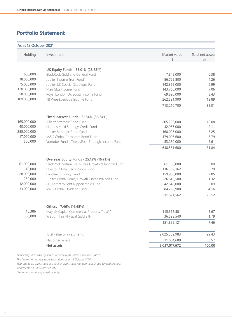## <span id="page-11-0"></span>**Portfolio Statement**

### **As at 15 October 2021**

| Holding     | Investment                                                                  | Market value<br>£ | Total net assets<br>$\%$ |
|-------------|-----------------------------------------------------------------------------|-------------------|--------------------------|
|             |                                                                             |                   |                          |
| 600,000     | UK Equity Funds - 35.01% (28.72%)<br><b>BlackRock Gold and General Fund</b> | 7,848,000         | 0.38                     |
| 18,000,000  | Jupiter Income Trust Fund <sup>+</sup>                                      | 86,725,800        | 4.26                     |
| 75,000,000  | Jupiter UK Special Situations Fund <sup>+</sup>                             | 142,395,000       | 6.99                     |
| 120,000,000 | Man GLG Income Fund                                                         | 143,760,000       | 7.06                     |
| 58,000,000  | Royal London UK Equity Income Fund                                          | 69,890,000        | 3.43                     |
| 109,000,000 | TB Wise Evenlode Income Fund                                                | 262,591,900       | 12.89                    |
|             |                                                                             | 713,210,700       | 35.01                    |
|             | Fixed Interest Funds - 31.84% (36.34%)                                      |                   |                          |
| 165,000,000 | Allianz Strategic Bond Fund                                                 | 205,293,000       | 10.08                    |
| 40,000,000  | Hermes Multi Strategy Credit Fund                                           | 42,956,000        | 2.11                     |
| 255,000,000 | Jupiter Strategic Bond Fund <sup>+</sup>                                    | 168,096,000       | 8.25                     |
| 17,000,000  | M&G Global Corporate Bond Fund                                              | 179,006,600       | 8.79                     |
| 500,000     | Vontobel Fund - TwentyFour Strategic Income Fund                            | 53,230,000        | 2.61                     |
|             |                                                                             | 648,581,600       | 31.84                    |
|             | Overseas Equity Funds - 25.12% (16.71%)                                     |                   |                          |
| 61,000,000  | BlackRock Natural Resources Growth & Income Fund                            | 61,183,000        | 3.00                     |
| 140,000     | BlueBox Global Technology Fund                                              | 136,389,162       | 6.70                     |
| 28,000,000  | Fundsmith Equity Fund                                                       | 159,908,000       | 7.85                     |
| 250,000     | Jupiter Global Equity Growth Unconstrained Fund <sup>+</sup>                | 26,842,500        | 1.32                     |
| 12,000,000  | LF Morant Wright Nippon Yield Fund                                          | 42,648,000        | 2.09                     |
| 33,000,000  | M&G Global Dividend Fund                                                    | 84,720,900        | 4.16                     |
|             |                                                                             | 511,691,562       | 25.12                    |
|             | Others - 7.46% (16.68%)                                                     |                   |                          |
| 10,386      | Mayfair Capital Commercial Property Trust*^                                 | 115,375,581       | 5.67                     |
| 300,000     | WisdomTree Physical Gold ETF                                                | 36,523,540        | 1.79                     |
|             |                                                                             | 151,899,121       | 7.46                     |
|             | Total value of investments                                                  | 2,025,382,983     | 99.43                    |
|             | Net other assets                                                            | 11,634,689        | 0.57                     |
|             | Net assets                                                                  | 2,037,017,672     | 100.00                   |
|             |                                                                             |                   |                          |

*All holdings are ordinary shares or stock units unless otherwise stated.*

*The figures in brackets show allocations as at 15 October 2020.*

*† Represents an investment in a Jupiter Investment Management Group Limited product.*

*\* Represents an unquoted security.*

*^Represents an unapproved security.*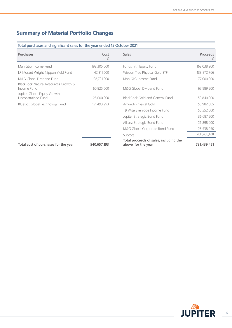## <span id="page-12-0"></span>**Summary of Material Portfolio Changes**

### **Total purchases and significant sales for the year ended 15 October 2021**

| Purchases                                                                           | Cost<br>£   | <b>Sales</b>                                                  | Proceeds<br>£ |
|-------------------------------------------------------------------------------------|-------------|---------------------------------------------------------------|---------------|
| Man GLG Income Fund                                                                 | 192,305,000 | Fundsmith Equity Fund                                         | 162,038,200   |
| LF Morant Wright Nippon Yield Fund                                                  | 42,311,600  | WisdomTree Physical Gold ETF                                  | 133,872,766   |
| M&G Global Dividend Fund                                                            | 98,721,000  | Man GLG Income Fund                                           | 77,000,000    |
| BlackRock Natural Resources Growth &<br>Income Fund<br>Jupiter Global Equity Growth | 60,825,600  | M&G Global Dividend Fund                                      | 67,989,900    |
| Unconstrained Fund                                                                  | 25,000,000  | <b>BlackRock Gold and General Fund</b>                        | 59,840,000    |
| BlueBox Global Technology Fund                                                      | 121,493,993 | Amundi Physical Gold                                          | 58,982,685    |
|                                                                                     |             | TB Wise Evenlode Income Fund                                  | 50,552,600    |
|                                                                                     |             | Jupiter Strategic Bond Fund                                   | 36,687,500    |
|                                                                                     |             | Allianz Strategic Bond Fund                                   | 26,898,000    |
|                                                                                     |             | M&G Global Corporate Bond Fund                                | 26,538,950    |
|                                                                                     |             | Subtotal                                                      | 700,400,601   |
| Total cost of purchases for the year                                                | 540,657,193 | Total proceeds of sales, including the<br>above, for the year | 731,439,451   |

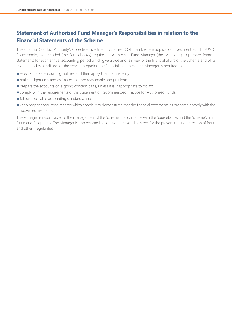## <span id="page-13-0"></span>**Statement of Authorised Fund Manager's Responsibilities in relation to the Financial Statements of the Scheme**

The Financial Conduct Authority's Collective Investment Schemes (COLL) and, where applicable, Investment Funds (FUND) Sourcebooks, as amended (the Sourcebooks) require the Authorised Fund Manager (the 'Manager') to prepare financial statements for each annual accounting period which give a true and fair view of the financial affairs of the Scheme and of its revenue and expenditure for the year. In preparing the financial statements the Manager is required to:

- select suitable accounting policies and then apply them consistently;
- make judgements and estimates that are reasonable and prudent;
- **prepare the accounts on a going concern basis, unless it is inappropriate to do so;**
- **Comply with the requirements of the Statement of Recommended Practice for Authorised Funds;**
- **follow applicable accounting standards; and**
- Exeep proper accounting records which enable it to demonstrate that the financial statements as prepared comply with the above requirements.

The Manager is responsible for the management of the Scheme in accordance with the Sourcebooks and the Scheme's Trust Deed and Prospectus. The Manager is also responsible for taking reasonable steps for the prevention and detection of fraud and other irregularities.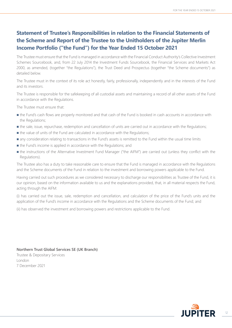## <span id="page-14-0"></span>**Statement of Trustee's Responsibilities in relation to the Financial Statements of the Scheme and Report of the Trustee to the Unitholders of the Jupiter Merlin Income Portfolio ("the Fund") for the Year Ended 15 October 2021**

The Trustee must ensure that the Fund is managed in accordance with the Financial Conduct Authority's Collective Investment Schemes Sourcebook, and, from 22 July 2014 the Investment Funds Sourcebook, the Financial Services and Markets Act 2000, as amended, (together "the Regulations"), the Trust Deed and Prospectus (together "the Scheme documents") as detailed below.

The Trustee must in the context of its role act honestly, fairly, professionally, independently and in the interests of the Fund and its investors.

The Trustee is responsible for the safekeeping of all custodial assets and maintaining a record of all other assets of the Fund in accordance with the Regulations.

The Trustee must ensure that:

- the Fund's cash flows are properly monitored and that cash of the Fund is booked in cash accounts in accordance with the Regulations;
- the sale, issue, repurchase, redemption and cancellation of units are carried out in accordance with the Regulations;
- $\blacksquare$  the value of units of the Fund are calculated in accordance with the Regulations;
- any consideration relating to transactions in the Fund's assets is remitted to the Fund within the usual time limits
- $\blacksquare$  the Fund's income is applied in accordance with the Regulations; and
- the instructions of the Alternative Investment Fund Manager ("the AIFM") are carried out (unless they conflict with the Regulations).

The Trustee also has a duty to take reasonable care to ensure that the Fund is managed in accordance with the Regulations and the Scheme documents of the Fund in relation to the investment and borrowing powers applicable to the Fund.

Having carried out such procedures as we considered necessary to discharge our responsibilities as Trustee of the Fund, it is our opinion, based on the information available to us and the explanations provided, that, in all material respects the Fund, acting through the AIFM:

(i) has carried out the issue, sale, redemption and cancellation, and calculation of the price of the Fund's units and the application of the Fund's income in accordance with the Regulations and the Scheme documents of the Fund; and

(ii) has observed the investment and borrowing powers and restrictions applicable to the Fund.

**Northern Trust Global Services SE (UK Branch)** Trustee & Depositary Services London 7 December 2021

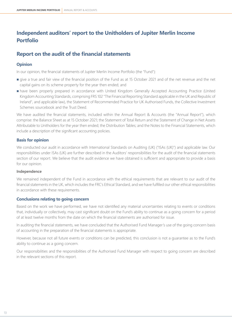## <span id="page-15-0"></span>**Independent auditors' report to the Unitholders of Jupiter Merlin Income Portfolio**

## **Report on the audit of the financial statements**

### **Opinion**

In our opinion, the financial statements of Jupiter Merlin Income Portfolio (the "Fund"):

- give a true and fair view of the financial position of the Fund as at 15 October 2021 and of the net revenue and the net capital gains on its scheme property for the year then ended; and
- have been properly prepared in accordance with United Kingdom Generally Accepted Accounting Practice (United Kingdom Accounting Standards, comprising FRS 102 "The Financial Reporting Standard applicable in the UK and Republic of Ireland", and applicable law), the Statement of Recommended Practice for UK Authorised Funds, the Collective Investment Schemes sourcebook and the Trust Deed.

We have audited the financial statements, included within the Annual Report & Accounts (the "Annual Report"), which comprise: the Balance Sheet as at 15 October 2021; the Statement of Total Return and the Statement of Change in Net Assets Attributable to Unitholders for the year then ended; the Distribution Tables; and the Notes to the Financial Statements, which include a description of the significant accounting policies.

### **Basis for opinion**

We conducted our audit in accordance with International Standards on Auditing (UK) ("ISAs (UK)") and applicable law. Our responsibilities under ISAs (UK) are further described in the Auditors' responsibilities for the audit of the financial statements section of our report. We believe that the audit evidence we have obtained is sufficient and appropriate to provide a basis for our opinion.

### **Independence**

We remained independent of the Fund in accordance with the ethical requirements that are relevant to our audit of the financial statements in the UK, which includes the FRC's Ethical Standard, and we have fulfilled our other ethical responsibilities in accordance with these requirements.

### **Conclusions relating to going concern**

Based on the work we have performed, we have not identified any material uncertainties relating to events or conditions that, individually or collectively, may cast significant doubt on the Fund's ability to continue as a going concern for a period of at least twelve months from the date on which the financial statements are authorised for issue.

In auditing the financial statements, we have concluded that the Authorised Fund Manager's use of the going concern basis of accounting in the preparation of the financial statements is appropriate.

However, because not all future events or conditions can be predicted, this conclusion is not a guarantee as to the Fund's ability to continue as a going concern.

Our responsibilities and the responsibilities of the Authorised Fund Manager with respect to going concern are described in the relevant sections of this report.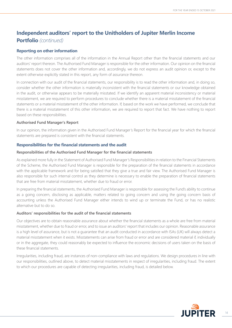## **Independent auditors' report to the Unitholders of Jupiter Merlin Income Portfolio** *(continued)*

### **Reporting on other information**

The other information comprises all of the information in the Annual Report other than the financial statements and our auditors' report thereon. The Authorised Fund Manager is responsible for the other information. Our opinion on the financial statements does not cover the other information and, accordingly, we do not express an audit opinion or, except to the extent otherwise explicitly stated in this report, any form of assurance thereon.

In connection with our audit of the financial statements, our responsibility is to read the other information and, in doing so, consider whether the other information is materially inconsistent with the financial statements or our knowledge obtained in the audit, or otherwise appears to be materially misstated. If we identify an apparent material inconsistency or material misstatement, we are required to perform procedures to conclude whether there is a material misstatement of the financial statements or a material misstatement of the other information. If, based on the work we have performed, we conclude that there is a material misstatement of this other information, we are required to report that fact. We have nothing to report based on these responsibilities.

### **Authorised Fund Manager's Report**

In our opinion, the information given in the Authorised Fund Manager's Report for the financial year for which the financial statements are prepared is consistent with the financial statements.

### **Responsibilities for the financial statements and the audit**

### **Responsibilities of the Authorised Fund Manager for the financial statements**

As explained more fully in the Statement of Authorised Fund Manager's Responsibilities in relation to the Financial Statements of the Scheme, the Authorised Fund Manager is responsible for the preparation of the financial statements in accordance with the applicable framework and for being satisfied that they give a true and fair view. The Authorised Fund Manager is also responsible for such internal control as they determine is necessary to enable the preparation of financial statements that are free from material misstatement, whether due to fraud or error.

In preparing the financial statements, the Authorised Fund Manager is responsible for assessing the Fund's ability to continue as a going concern, disclosing as applicable, matters related to going concern and using the going concern basis of accounting unless the Authorised Fund Manager either intends to wind up or terminate the Fund, or has no realistic alternative but to do so.

### **Auditors' responsibilities for the audit of the financial statements**

Our objectives are to obtain reasonable assurance about whether the financial statements as a whole are free from material misstatement, whether due to fraud or error, and to issue an auditors' report that includes our opinion. Reasonable assurance is a high level of assurance, but is not a guarantee that an audit conducted in accordance with ISAs (UK) will always detect a material misstatement when it exists. Misstatements can arise from fraud or error and are considered material if, individually or in the aggregate, they could reasonably be expected to influence the economic decisions of users taken on the basis of these financial statements.

Irregularities, including fraud, are instances of non-compliance with laws and regulations. We design procedures in line with our responsibilities, outlined above, to detect material misstatements in respect of irregularities, including fraud. The extent to which our procedures are capable of detecting irregularities, including fraud, is detailed below.

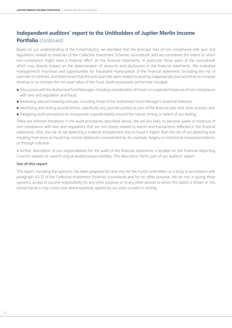## **Independent auditors' report to the Unitholders of Jupiter Merlin Income Portfolio** *(continued)*

Based on our understanding of the Fund/industry, we identified that the principal risks of non-compliance with laws and regulations related to breaches of the Collective Investment Schemes sourcebook, and we considered the extent to which non-compliance might have a material effect on the financial statements, in particular those parts of the sourcebook which may directly impact on the determination of amounts and disclosures in the financial statements. We evaluated management's incentives and opportunities for fraudulent manipulation of the financial statements (including the risk of override of controls), and determined that the principal risks were related to posting inappropriate journal entries to increase revenue or to increase the net asset value of the Fund. Audit procedures performed included:

- Discussions with the Authorised Fund Manager, including consideration of known or suspected instances of non-compliance with laws and regulation and fraud;
- Reviewing relevant meeting minutes, including those of the Authorised Fund Manager's board of directors;
- Identifying and testing journal entries, specifically any journals posted as part of the financial year end close process; and
- Designing audit procedures to incorporate unpredictability around the nature, timing or extent of our testing.

There are inherent limitations in the audit procedures described above. We are less likely to become aware of instances of non-compliance with laws and regulations that are not closely related to events and transactions reflected in the financial statements. Also, the risk of not detecting a material misstatement due to fraud is higher than the risk of not detecting one resulting from error, as fraud may involve deliberate concealment by, for example, forgery or intentional misrepresentations, or through collusion.

A further description of our responsibilities for the audit of the financial statements is located on the Financial Reporting Council's website at: www.frc.org.uk/auditorsresponsibilities. This description forms part of our auditors' report.

### **Use of this report**

This report, including the opinions, has been prepared for and only for the Fund's unitholders as a body in accordance with paragraph 4.5.12 of the Collective Investment Schemes sourcebook and for no other purpose. We do not, in giving these opinions, accept or assume responsibility for any other purpose or to any other person to whom this report is shown or into whose hands it may come save where expressly agreed by our prior consent in writing.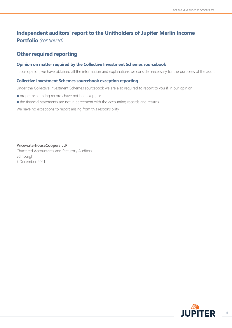## **Independent auditors' report to the Unitholders of Jupiter Merlin Income Portfolio** *(continued)*

## **Other required reporting**

### **Opinion on matter required by the Collective Investment Schemes sourcebook**

In our opinion, we have obtained all the information and explanations we consider necessary for the purposes of the audit.

### **Collective Investment Schemes sourcebook exception reporting**

Under the Collective Investment Schemes sourcebook we are also required to report to you if, in our opinion:

- **proper accounting records have not been kept; or**
- the financial statements are not in agreement with the accounting records and returns.

We have no exceptions to report arising from this responsibility.

**PricewaterhouseCoopers LLP** Chartered Accountants and Statutory Auditors Edinburgh 7 December 2021

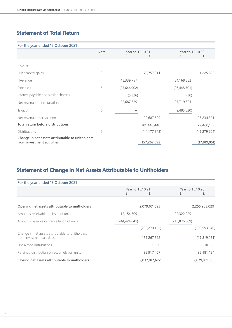## <span id="page-19-0"></span>**Statement of Total Return**

### **For the year ended 15 October 2021**

| $\frac{1}{2}$ of the year chacal is set ober $\frac{1}{2}$                     |             |                  |                |                  |                |
|--------------------------------------------------------------------------------|-------------|------------------|----------------|------------------|----------------|
|                                                                                | <b>Note</b> | Year to 15,10.21 |                | Year to 15.10.20 |                |
|                                                                                |             | £                | £              | £                | £              |
| Income                                                                         |             |                  |                |                  |                |
| Net capital gains                                                              | 3           |                  | 178,757,911    |                  | 4,225,852      |
| Revenue                                                                        | 4           | 48,339,757       |                | 54,168,552       |                |
| Expenses                                                                       | 5           | (25, 646, 902)   |                | (26, 448, 701)   |                |
| Interest payable and similar charges                                           |             | (5, 326)         |                | (30)             |                |
| Net revenue before taxation                                                    |             | 22,687,529       |                | 27,719,821       |                |
| Taxation                                                                       | 6           |                  |                | (2,485,520)      |                |
| Net revenue after taxation                                                     |             |                  | 22,687,529     |                  | 25,234,301     |
| Total return before distributions                                              |             |                  | 201,445,440    |                  | 29,460,153     |
| <b>Distributions</b>                                                           | 7           |                  | (44, 177, 848) |                  | (47, 279, 204) |
| Change in net assets attributable to unitholders<br>from investment activities |             |                  | 157,267,592    |                  | (17, 819, 051) |

## **Statement of Change in Net Assets Attributable to Unitholders**

| For the year ended 15 October 2021                                             |                  |                 |               |                  |
|--------------------------------------------------------------------------------|------------------|-----------------|---------------|------------------|
|                                                                                | Year to 15,10.21 |                 |               | Year to 15,10.20 |
|                                                                                | £                | $+$             | £             | £                |
| Opening net assets attributable to unitholders                                 |                  | 2,079,101,695   |               | 2,255,283,029    |
| Amounts receivable on issue of units                                           | 12,154,509       |                 | 22,322,929    |                  |
| Amounts payable on cancellation of units                                       | (244, 424, 641)  |                 | (215,876,569) |                  |
|                                                                                |                  | (232, 270, 132) |               | (193, 553, 640)  |
| Change in net assets attributable to unitholders<br>from investment activities |                  | 157,267,592     |               | (17, 819, 051)   |
| Unclaimed distributions                                                        |                  | 1,050           |               | 10,163           |
| Retained distribution on accumulation units                                    |                  | 32,917,467      |               | 35,181,194       |
| Closing net assets attributable to unitholders                                 |                  | 2,037,017,672   |               | 2,079,101,695    |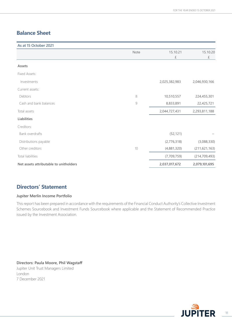## <span id="page-20-0"></span>**Balance Sheet**

| As at 15 October 2021                  |      |               |                 |
|----------------------------------------|------|---------------|-----------------|
|                                        | Note | 15.10.21      | 15.10.20        |
|                                        |      | £             | £               |
| Assets                                 |      |               |                 |
| Fixed Assets:                          |      |               |                 |
| Investments                            |      | 2,025,382,983 | 2,046,930,166   |
| Current assets:                        |      |               |                 |
| Debtors                                | 8    | 10,510,557    | 224,455,301     |
| Cash and bank balances                 | 9    | 8,833,891     | 22,425,721      |
| Total assets                           |      | 2,044,727,431 | 2,293,811,188   |
| Liabilities                            |      |               |                 |
| Creditors:                             |      |               |                 |
| Bank overdrafts                        |      | (52, 121)     |                 |
| Distributions payable                  |      | (2,776,318)   | (3,088,330)     |
| Other creditors                        | 10   | (4,881,320)   | (211, 621, 163) |
| Total liabilities                      |      | (7,709,759)   | (214, 709, 493) |
| Net assets attributable to unitholders |      | 2,037,017,672 | 2,079,101,695   |

### **Directors' Statement**

### **Jupiter Merlin Income Portfolio**

This report has been prepared in accordance with the requirements of the Financial Conduct Authority's Collective Investment Schemes Sourcebook and Investment Funds Sourcebook where applicable and the Statement of Recommended Practice issued by the Investment Association.

**Directors: Paula Moore, Phil Wagstaff** Jupiter Unit Trust Managers Limited London 7 December 2021

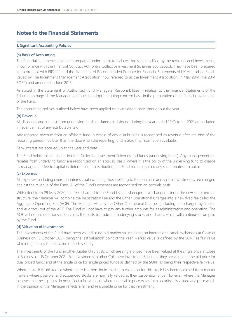## <span id="page-21-0"></span>**Notes to the Financial Statements**

### **1. Significant Accounting Policies**

### **(a) Basis of Accounting**

The financial statements have been prepared under the historical cost basis, as modified by the revaluation of investments, in compliance with the Financial Conduct Authority's Collective Investment Schemes Sourcebook. They have been prepared in accordance with FRS 102 and the Statement of Recommended Practice for Financial Statements of UK Authorised Funds issued by The Investment Management Association (now referred to as the Investment Association) in May 2014 (the 2014 SORP) and amended in June 2017.

As stated in the Statement of Authorised Fund Managers' Responsibilities in relation to the Financial Statements of the Scheme on page 11, the Manager continues to adopt the going concern basis in the preparation of the financial statements of the Fund.

The accounting policies outlined below have been applied on a consistent basis throughout the year.

### **(b) Revenue**

All dividends and interest from underlying funds declared ex-dividend during the year ended 15 October 2021 are included in revenue, net of any attributable tax.

Any reported revenue from an offshore fund in excess of any distributions is recognised as revenue after the end of the reporting period, not later than the date when the reporting fund makes this information available.

Bank interest are accrued up to the year end date.

The Fund holds units or shares in other Collective Investment Schemes and funds (underlying funds). Any management fee rebates from underlying funds are recognised on an accruals basis. Where it is the policy of the underlying fund to charge its management fee to capital in determining its distribution, the Fund has recognised any such rebates as capital.

#### **(c) Expenses**

All expenses, including overdraft interest, but excluding those relating to the purchase and sale of investments, are charged against the revenue of the Fund. All of the Fund's expenses are recognised on an accruals basis.

With effect from 29 May 2020, the fees charged to the Fund by the Manager have changed. Under the new simplified fee structure, the Manager will combine the Registration Fee and the Other Operational Charges into a new fixed fee called the Aggregate Operating Fee (AOF). The Manager will pay the Other Operational Charges (including fees charged by Trustee and Auditors) out of the AOF. The Fund will not have to pay any further amounts for its administration and operation. The AOF will not include transaction costs, the costs to trade the underlying stocks and shares, which will continue to be paid by the Fund.

#### **(d) Valuation of Investments**

The investments of the Fund have been valued using bid market values ruling on international stock exchanges at Close of Business on 15 October 2021, being the last valuation point of the year. Market value is defined by the SORP as fair value which is generally the bid value of each security.

The investments of the Fund in other Jupiter Unit Trusts which are single priced have been valued at the single price at Close of Business on 15 October 2021. For investments in other Collective Investment Schemes, they are valued at the bid price for dual priced funds and at the single price for single priced funds as defined by the SORP as being their respective fair value.

Where a stock is unlisted or where there is a non liquid market, a valuation for this stock has been obtained from market makers where possible, and suspended stocks are normally valued at their suspension price. However, where the Manager believes that these prices do not reflect a fair value, or where no reliable price exists for a security, it is valued at a price which in the opinion of the Manager reflects a fair and reasonable price for that investment.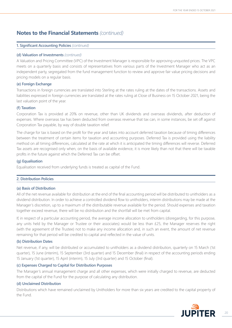### **1. Significant Accounting Policies** *(continued)*

### **(d) Valuation of Investments** *(continued)*

A Valuation and Pricing Committee (VPC) of the Investment Manager is responsible for approving unquoted prices. The VPC meets on a quarterly basis and consists of representatives from various parts of the Investment Manager who act as an independent party, segregated from the fund management function to review and approve fair value pricing decisions and pricing models on a regular basis.

### **(e) Foreign Exchange**

Transactions in foreign currencies are translated into Sterling at the rates ruling at the dates of the transactions. Assets and liabilities expressed in foreign currencies are translated at the rates ruling at Close of Business on 15 October 2021, being the last valuation point of the year.

### **(f) Taxation**

Corporation Tax is provided at 20% on revenue, other than UK dividends and overseas dividends, after deduction of expenses. Where overseas tax has been deducted from overseas revenue that tax can, in some instances, be set off against Corporation Tax payable, by way of double taxation relief.

The charge for tax is based on the profit for the year and takes into account deferred taxation because of timing differences between the treatment of certain items for taxation and accounting purposes. Deferred Tax is provided using the liability method on all timing differences, calculated at the rate at which it is anticipated the timing differences will reverse. Deferred Tax assets are recognised only when, on the basis of available evidence, it is more likely than not that there will be taxable profits in the future against which the Deferred Tax can be offset.

### **(g) Equalisation**

Equalisation received from underlying funds is treated as capital of the Fund.

### **2. Distribution Policies**

#### **(a) Basis of Distribution**

All of the net revenue available for distribution at the end of the final accounting period will be distributed to unitholders as a dividend distribution. In order to achieve a controlled dividend flow to unitholders, interim distributions may be made at the Manager's discretion, up to a maximum of the distributable revenue available for the period. Should expenses and taxation together exceed revenue, there will be no distribution and the shortfall will be met from capital.

If, in respect of a particular accounting period, the average income allocation to unitholders (disregarding, for this purpose, any units held by the Manager or Trustee or their associates) would be less than £25, the Manager reserves the right (with the agreement of the Trustee) not to make any income allocation and, in such an event, the amount of net revenue remaining for that period will be credited to capital and reflected in the value of units.

### **(b) Distribution Dates**

Net revenue, if any, will be distributed or accumulated to unitholders as a dividend distribution, quarterly on 15 March (1st quarter), 15 June (interim), 15 September (3rd quarter) and 15 December (final) in respect of the accounting periods ending 15 January (1st quarter), 15 April (interim), 15 July (3rd quarter) and 15 October (final).

### **(c) Expenses Charged to Capital for Distribution Purposes**

The Manager's annual management charge and all other expenses, which were initially charged to revenue, are deducted from the capital of the Fund for the purpose of calculating any distribution.

### **(d) Unclaimed Distribution**

Distributions which have remained unclaimed by Unitholders for more than six years are credited to the capital property of the Fund.

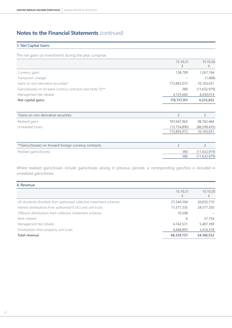### **3. Net Capital Gains**

The net gains on investments during the year comprise:

|                                                              | 15.10.21<br>£  | 15.10.20<br>£  |
|--------------------------------------------------------------|----------------|----------------|
| Currency gains                                               | 138,799        | 1,267,194      |
| Transaction charges                                          |                | (1,408)        |
| Gains on non-derivative securities*                          | 173,893,072    | 10,163,031     |
| Gains/(losses) on forward currency contracts (see Note 13)** | 380            | (11, 632, 979) |
| Management fee rebates                                       | 4,725,660      | 4,430,014      |
| Net capital gains                                            | 178,757,911    | 4,225,852      |
|                                                              |                |                |
| *Gains on non-derivative securities                          | £              | £              |
| Realised gains                                               | 187,647,962    | 98,762,466     |
| Unrealised losses                                            | (13, 754, 890) | (88, 599, 435) |
|                                                              | 173,893,072    | 10,163,031     |
|                                                              |                |                |
| ** Gains/(losses) on forward foreign currency contracts      | £              | £              |
| Realised gains/(losses)                                      | 380            | (11, 632, 979) |
|                                                              | 380            | (11, 632, 979) |

Where realised gains/losses include gains/losses arising in previous periods, a corresponding gain/loss is included in unrealised gains/losses.

| 4. Revenue                                                           |               |            |
|----------------------------------------------------------------------|---------------|------------|
|                                                                      | 15.10.21<br>£ | 15.10.20   |
| UK dividends (franked) from authorised collective investment schemes | 27,540,394    | 20,655,710 |
| Interest distributions from authorised ICVCs and unit trusts         | 11,577,335    | 24,577,320 |
| Offshore distributions from collective investment schemes            | 10,598        |            |
| Bank interest                                                        | 6             | 37,754     |
| Management fee rebates                                               | 4,742,531     | 5,487,390  |
| Distributions from property unit trusts                              | 4,468,893     | 3,410,378  |
| Total revenue                                                        | 48,339,757    | 54,168,552 |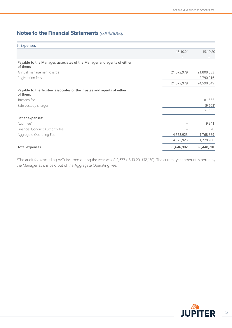| 5. Expenses                                                                        |               |               |
|------------------------------------------------------------------------------------|---------------|---------------|
|                                                                                    | 15.10.21<br>£ | 15.10.20<br>£ |
| Payable to the Manager, associates of the Manager and agents of either<br>of them: |               |               |
| Annual management charge                                                           | 21,072,979    | 21,808,533    |
| Registration fees                                                                  |               | 2,790,016     |
|                                                                                    | 21,072,979    | 24,598,549    |
| Payable to the Trustee, associates of the Trustee and agents of either<br>of them: |               |               |
| Trustee's fee                                                                      |               | 81,555        |
| Safe custody charges                                                               |               | (9,603)       |
|                                                                                    |               | 71,952        |
| Other expenses:                                                                    |               |               |
| Audit fee*                                                                         |               | 9,241         |
| Financial Conduct Authority fee                                                    |               | 70            |
| Aggregate Operating Fee                                                            | 4,573,923     | 1,768,889     |
|                                                                                    | 4,573,923     | 1,778,200     |
| <b>Total expenses</b>                                                              | 25,646,902    | 26,448,701    |

\*The audit fee (excluding VAT) incurred during the year was £12,677 (15.10.20: £12,130). The current year amount is borne by the Manager as it is paid out of the Aggregate Operating Fee.

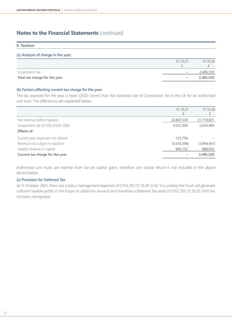## **6. Taxation (a) Analysis of charge in the year:** 15.10.21 15.10.20

|                               | .                        | .         |
|-------------------------------|--------------------------|-----------|
| Corporation tax               | $\qquad \qquad -$        | 2,485,520 |
| Total tax charge for the year | $\overline{\phantom{a}}$ | 2,485,520 |

### **(b) Factors affecting current tax charge for the year:**

The tax assessed for the year is lower (2020: lower) than the standard rate of Corporation Tax in the UK for an authorised unit trust. The differences are explained below:

|                                    | 15.10.21<br>£ | 15.10.20<br>£ |
|------------------------------------|---------------|---------------|
| Net revenue before taxation        | 22,687,529    | 27,719,821    |
| Corporation tax of 20% (2020: 20%) | 4,537,506     | 5,543,964     |
| Effects of:                        |               |               |
| Current year expenses not utilised | 152,756       |               |
| Revenue not subject to taxation    | (5,635,394)   | (3,944,447)   |
| Taxable revenue in capital         | 945,132       | 886,003       |
| Current tax charge for the year    |               | 2,485,520     |

Authorised unit trusts are exempt from tax on capital gains, therefore any capital return is not included in the above reconciliation.

### **(c) Provision for Deferred Tax**

At 15 October 2021, there are surplus management expenses of £763,781 (15.10.20: £nil). It is unlikely the Fund will generate sufficient taxable profits in the future to utilise this amount and therefore a Deferred Tax asset of £152,756 (15.10.20: £nil) has not been recognised.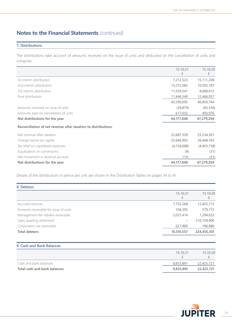### **7. Distributions**

The distributions take account of amounts received on the issue of units and deducted on the cancellation of units and comprise:

|                                                                | 15.10.21<br>£ | 15.10.20<br>£ |
|----------------------------------------------------------------|---------------|---------------|
| 1st interim distribution                                       | 7,212,523     | 15,111,208    |
| 2nd interim distribution                                       | 13,372,082    | 10,592,187    |
| 3rd interim distribution                                       | 11,559,541    | 8,680,412     |
| Final distribution                                             | 11,446,549    | 12,466,957    |
|                                                                | 43,590,695    | 46,850,764    |
| Amounts received on issue of units                             | (29, 879)     | (65, 536)     |
| Amounts paid on cancellation of units                          | 617,032       | 493,976       |
| Net distributions for the year                                 | 44,177,848    | 47,279,204    |
| Reconciliation of net revenue after taxation to distributions: |               |               |
| Net revenue after taxation                                     | 22,687,529    | 25,234,301    |
| Charges borne by capital                                       | 25,646,902    | 26,448,703    |
| Tax relief on capitalised expenses                             | (4, 156, 688) | (4,403,738)   |
| Equalisation on conversions                                    | (9)           | (31)          |
| Net movement in revenue account                                | 114           | (31)          |
| Net distributions for the year                                 | 44,177,848    | 47,279,204    |

Details of the distributions in pence per unit are shown in the Distribution Tables on pages 34 to 41.

| 8. Debtors                            | 15.10.21   | 15.10.20    |
|---------------------------------------|------------|-------------|
| Accrued revenue                       | 7,753,268  | 12,425,715  |
| Amounts receivable for issue of units | 104,395    | 379,173     |
| Management fee rebates receivable     | 2,031,414  | 1,294,033   |
| Sales awaiting settlement             | —          | 210,159,900 |
| Corporation tax receivable            | 621,480    | 196,480     |
| <b>Total debtors</b>                  | 10,510,557 | 224,455,301 |
|                                       |            |             |

| 9. Cash and Bank Balances    |           |            |
|------------------------------|-----------|------------|
|                              | 15.10.21  | 15.10.20   |
| Cash and bank balances       | 8,833,891 | 22,425,721 |
| Total cash and bank balances | 8.833.891 | 22,425,721 |

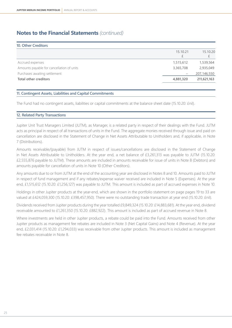| <b>10. Other Creditors</b>                |           |             |
|-------------------------------------------|-----------|-------------|
|                                           | 15.10.21  | 15.10.20    |
| Accrued expenses                          | 1,515,612 | 1,539,564   |
| Amounts payable for cancellation of units | 3,365,708 | 2,935,049   |
| Purchases awaiting settlement             |           | 207,146,550 |
| <b>Total other creditors</b>              | 4,881,320 | 211,621,163 |

### **11. Contingent Assets, Liabilities and Capital Commitments**

The Fund had no contingent assets, liabilities or capital commitments at the balance sheet date (15.10.20: £nil).

### **12. Related Party Transactions**

Jupiter Unit Trust Managers Limited (JUTM), as Manager, is a related party in respect of their dealings with the Fund. JUTM acts as principal in respect of all transactions of units in the Fund. The aggregate monies received through issue and paid on cancellation are disclosed in the Statement of Change in Net Assets Attributable to Unitholders and, if applicable, in Note 7 (Distributions).

Amounts receivable/(payable) from JUTM in respect of issues/cancellations are disclosed in the Statement of Change in Net Assets Attributable to Unitholders. At the year end, a net balance of £3,261,313 was payable to JUTM (15.10.20: £2,555,876 payable to JUTM). These amounts are included in amounts receivable for issue of units in Note 8 (Debtors) and amounts payable for cancellation of units in Note 10 (Other Creditors).

Any amounts due to or from JUTM at the end of the accounting year are disclosed in Notes 8 and 10. Amounts paid to JUTM in respect of fund management and if any rebates/expense waiver received are included in Note 5 (Expenses). At the year end, £1,515,612 (15.10.20: £1,256,127) was payable to JUTM. This amount is included as part of accrued expenses in Note 10.

Holdings in other Jupiter products at the year-end, which are shown in the portfolio statement on page pages 19 to 33 are valued at £424,059,300 (15.10.20: £398,457,950). There were no outstanding trade transaction at year end (15.10.20: £nil).

Dividends received from Jupiter products during the year totalled £9,849,324 (15.10.20: £14,883,681). At the year end, dividend receivable amounted to £1,261,350 (15.10.20: £882,922). This amount is included as part of accrued revenue in Note 8.

Where investments are held in other Jupiter products, a rebate could be paid into the Fund. Amounts received from other Jupiter products as management fee rebates are included in Note 3 (Net Capital Gains) and Note 4 (Revenue). At the year end, £2,031,414 (15.10.20: £1,294,033) was receivable from other Jupiter products. This amount is included as management fee rebates receivable in Note 8.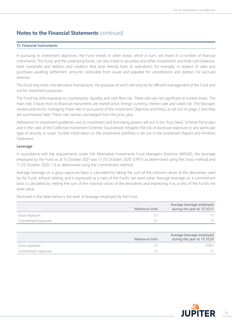### **13. Financial Instruments**

In pursuing its investment objectives, the Fund invests in other funds, which in turn, will invest in a number of financial instruments. The Fund, and the underlying funds, can also invest in securities and other investments and hold cash balances, bank overdrafts and debtors and creditors that arise directly from its operations, for example, in respect of sales and purchases awaiting settlement, amounts receivable from issues and payable for cancellations and debtors for accrued revenue.

The Fund may enter into derivative transactions, the purpose of which will only be for efficient management of the Fund and not for investment purposes.

The Fund has little exposure to counterparty, liquidity and cash flow risk. These risks are not significant at current levels. The main risks it faces from its financial instruments are market price, foreign currency, interest rate and credit risk. The Manager reviews policies for managing these risks in pursuance of the Investment Objective and Policy as set out on page 2 and they are summarised later. These risks remain unchanged from the prior year.

Adherence to investment guidelines and to investment and borrowing powers set out in the Trust Deed, Scheme Particulars and in the rules of the Collective Investment Schemes Sourcebook mitigates the risk of excessive exposure to any particular type of security or issuer. Further information on the investment portfolio is set out in the Investment Report and Portfolio Statement.

### **Leverage**

In accordance with the requirements under the Alternative Investments Fund Managers Directive (AIFMD), the leverage employed by the Fund as at 15 October 2021 was 1:1 (15 October 2020: 0.99:1) as determined using the Gross method and 1:1 (15 October 2020: 1:1) as determined using the Commitment method.

Average leverage on a gross exposure basis is calculated by taking the sum of the notional values of the derivatives used by the Fund, without netting, and is expressed as a ratio of the Fund's net asset value. Average leverage on a commitment basis is calculated by netting the sum of the notional values of the derivatives and expressing it as a ratio of the Fund's net asset value.

Disclosed in the table below is the level of leverage employed by the Fund.

|                     | Maximum limit | Average leverage employed<br>during the year to 15.10.21 |
|---------------------|---------------|----------------------------------------------------------|
| Gross exposure      |               |                                                          |
| Commitment exposure |               |                                                          |

|                     | Maximum limit | Average leverage employed<br>during the year to 15.10.20 |
|---------------------|---------------|----------------------------------------------------------|
| Gross exposure      |               | 0.99:1                                                   |
| Commitment exposure |               |                                                          |

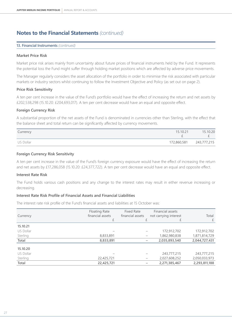#### **13. Financial Instruments** *(continued)*

#### **Market Price Risk**

Market price risk arises mainly from uncertainty about future prices of financial instruments held by the Fund. It represents the potential loss the Fund might suffer through holding market positions which are affected by adverse price movements.

The Manager regularly considers the asset allocation of the portfolio in order to minimise the risk associated with particular markets or industry sectors whilst continuing to follow the Investment Objective and Policy (as set out on page 2).

#### **Price Risk Sensitivity**

A ten per cent increase in the value of the Fund's portfolio would have the effect of increasing the return and net assets by £202,538,298 (15.10.20: £204,693,017). A ten per cent decrease would have an equal and opposite effect.

### **Foreign Currency Risk**

A substantial proportion of the net assets of the Fund is denominated in currencies other than Sterling, with the effect that the balance sheet and total return can be significantly affected by currency movements.

| Currency  | 15.10.21<br>- | 15.10.20    |
|-----------|---------------|-------------|
| US Dollar | 172,860,581   | 243,777,215 |

### **Foreign Currency Risk Sensitivity**

A ten per cent increase in the value of the Fund's foreign currency exposure would have the effect of increasing the return and net assets by £17,286,058 (15.10.20: £24,377,722). A ten per cent decrease would have an equal and opposite effect.

#### **Interest Rate Risk**

The Fund holds various cash positions and any change to the interest rates may result in either revenue increasing or decreasing.

### **Interest Rate Risk Profile of Financial Assets and Financial Liabilities**

The interest rate risk profile of the Fund's financial assets and liabilities at 15 October was:

| Currency  | <b>Floating Rate</b><br>financial assets<br>£ | <b>Fixed Rate</b><br>financial assets | Financial assets<br>not carrying interest | Total<br>£    |
|-----------|-----------------------------------------------|---------------------------------------|-------------------------------------------|---------------|
| 15.10.21  |                                               |                                       |                                           |               |
| US Dollar |                                               |                                       | 172,912,702                               | 172,912,702   |
| Sterling  | 8,833,891                                     |                                       | 1,862,980,838                             | 1,871,814,729 |
| Total     | 8,833,891                                     |                                       | 2,035,893,540                             | 2,044,727,431 |
| 15.10.20  |                                               |                                       |                                           |               |
| US Dollar |                                               |                                       | 243,777,215                               | 243,777,215   |
| Sterling  | 22,425,721                                    |                                       | 2,027,608,252                             | 2,050,033,973 |
| Total     | 22,425,721                                    |                                       | 2,271,385,467                             | 2,293,811,188 |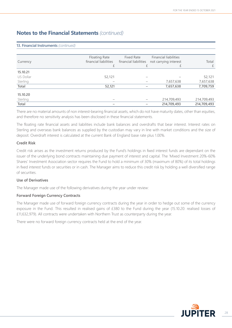### **13. Financial Instruments** *(continued)*

| Currency         | Floating Rate<br>financial liabilities<br>£ | <b>Fixed Rate</b><br>financial liabilities | <b>Financial liabilities</b><br>not carrying interest | Total<br>£  |
|------------------|---------------------------------------------|--------------------------------------------|-------------------------------------------------------|-------------|
| 15.10.21         |                                             |                                            |                                                       |             |
| <b>US Dollar</b> | 52,121                                      |                                            |                                                       | 52,121      |
| Sterling         |                                             |                                            | 7,657,638                                             | 7,657,638   |
| Total            | 52,121                                      |                                            | 7,657,638                                             | 7,709,759   |
| 15.10.20         |                                             |                                            |                                                       |             |
| Sterling         |                                             |                                            | 214,709,493                                           | 214,709,493 |
| Total            | $\hspace{0.1mm}-\hspace{0.1mm}$             |                                            | 214,709,493                                           | 214,709,493 |

There are no material amounts of non interest-bearing financial assets, which do not have maturity dates, other than equities, and therefore no sensitivity analysis has been disclosed in these financial statements.

The floating rate financial assets and liabilities include bank balances and overdrafts that bear interest. Interest rates on Sterling and overseas bank balances as supplied by the custodian may vary in line with market conditions and the size of deposit. Overdraft interest is calculated at the current Bank of England base rate plus 1.00%.

### **Credit Risk**

Credit risk arises as the investment returns produced by the Fund's holdings in fixed interest funds are dependant on the issuer of the underlying bond contracts maintaining due payment of interest and capital. The 'Mixed Investment 20%-60% Shares' Investment Association sector requires the Fund to hold a minimum of 30% (maximum of 80%) of its total holdings in fixed interest funds or securities or in cash. The Manager aims to reduce this credit risk by holding a well diversified range of securities.

### **Use of Derivatives**

The Manager made use of the following derivatives during the year under review:

### **Forward Foreign Currency Contracts**

The Manager made use of forward foreign currency contracts during the year in order to hedge out some of the currency exposure in the Fund. This resulted in realised gains of £380 to the Fund during the year (15.10.20: realised losses of £11,632,979). All contracts were undertaken with Northern Trust as counterparty during the year.

There were no forward foreign currency contracts held at the end of the year.

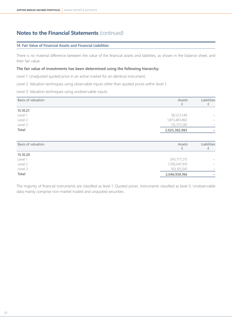### **14. Fair Value of Financial Assets and Financial Liabilities**

There is no material difference between the value of the financial assets and liabilities, as shown in the balance sheet, and their fair value.

### **The fair value of investments has been determined using the following hierarchy:**

Level 1: Unadjusted quoted price in an active market for an identical instrument;

Level 2: Valuation techniques using observable inputs other than quoted prices within level 1;

Level 3: Valuation techniques using unobservable inputs.

| Basis of valuation | Assets        | Liabilities       |
|--------------------|---------------|-------------------|
| 15.10.21           |               |                   |
| Level 1            | 36,523,540    |                   |
| Level 2            | 1,873,483,862 | $\hspace{0.05cm}$ |
| Level 3            | 115,375,581   | $\hspace{0.05cm}$ |
| Total              | 2,025,382,983 |                   |

| Basis of valuation | Assets        | Liabilities              |
|--------------------|---------------|--------------------------|
| 15.10.20           |               |                          |
| Level 1            | 243,777,215   | $\overline{\phantom{a}}$ |
| Level 2            | 1,700,047,910 | $\overline{\phantom{a}}$ |
| Level 3            | 103,105,041   | $\overline{\phantom{a}}$ |
| Total              | 2,046,930,166 |                          |

The majority of financial instruments are classified as level 1: Quoted prices. Instruments classified as level 3: Unobservable data mainly comprise non-market traded and unquoted securities.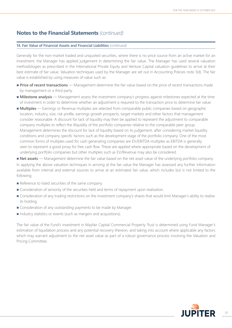### **14. Fair Value of Financial Assets and Financial Liabilities** *(continued)*

Generally for the non-market traded and unquoted securities, where there is no price source from an active market for an investment, the Manager has applied judgement in determining the fair value. The Manager has used several valuation methodologies as prescribed in the International Private Equity and Venture Capital valuation guidelines to arrive at their best estimate of fair value. Valuation techniques used by the Manager are set out in Accounting Policies note 1(d). The fair value is established by using measures of value such as:

- **Price of recent transactions** Management determine the fair value based on the price of recent transactions made by management or a third party.
- **Milestone analysis** Management assess the investment company's progress against milestones expected at the time of investment in order to determine whether an adjustment is required to the transaction price to determine fair value.
- **Multiples**  Earnings or Revenue multiples are selected from comparable public companies based on geographic location, industry, size, risk profile, earnings growth prospects, target markets and other factors that management consider reasonable. A discount for lack of liquidity may then be applied to represent the adjustment to comparable company multiples to reflect the illiquidity of the portfolio companies relative to the comparable peer group. Management determines the discount for lack of liquidity based on its judgement, after considering market liquidity conditions and company specific factors such as the development stage of the portfolio company. One of the most common forms of multiples used for cash generating companies are EV/EBITDA multiples as EBITDA is generally seen to represent a good proxy for free cash flow. These are applied where appropriate based on the development of underlying portfolio companies but other multiples such as EV/Revenue may also be considered.

 **Net assets** — Management determine the fair value based on the net asset value of the underlying portfolio company. In applying the above valuation techniques in arriving at the fair value the Manager has assessed any further information

available from internal and external sources to arrive at an estimated fair value, which includes but is not limited to the following:

- Reference to listed securities of the same company.
- Consideration of seniority of the securities held and terms of repayment upon realisation.
- Consideration of any trading restrictions on the investment company's shares that would limit Manager's ability to realise its holding.
- **Consideration of any outstanding payments to be made by Manager.**
- Industry statistics or events (such as mergers and acquisitions).

The fair value of the Fund's investment in Mayfair Capital Commercial Property Trust is determined using Fund Manager's estimation of liquidation process and any potential recovery thereon, and taking into account where applicable any factors which may warrant adjustment to the net asset value as part of a robust governance process involving the Valuation and Pricing Committee.

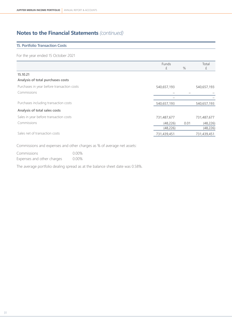### **15. Portfolio Transaction Costs**

For the year ended 15 October 2021

|                                            | Funds<br>£  | $\%$ | Total<br>£  |
|--------------------------------------------|-------------|------|-------------|
| 15.10.21                                   |             |      |             |
| Analysis of total purchases costs          |             |      |             |
| Purchases in year before transaction costs | 540,657,193 |      | 540,657,193 |
| Commissions                                |             |      |             |
|                                            |             |      |             |
| Purchases including transaction costs      | 540,657,193 |      | 540,657,193 |
| Analysis of total sales costs              |             |      |             |
| Sales in year before transaction costs     | 731,487,677 |      | 731,487,677 |
| Commissions                                | (48, 226)   | 0.01 | (48, 226)   |
|                                            | (48, 226)   |      | (48, 226)   |
| Sales net of transaction costs             | 731,439,451 |      | 731,439,451 |

Commissions and expenses and other charges as % of average net assets:

| Commissions                | 0.00%    |
|----------------------------|----------|
| Expenses and other charges | $0.00\%$ |

The average portfolio dealing spread as at the balance sheet date was 0.58%.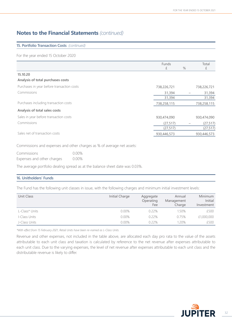### **15. Portfolio Transaction Costs** *(continued)*

For the year ended 15 October 2020

|                                            | Funds       |      | Total       |
|--------------------------------------------|-------------|------|-------------|
|                                            | £           | $\%$ | £           |
| 15.10.20                                   |             |      |             |
| Analysis of total purchases costs          |             |      |             |
| Purchases in year before transaction costs | 738,226,721 |      | 738,226,721 |
| Commissions                                | 31,394      |      | 31,394      |
|                                            | 31,394      |      | 31,394      |
| Purchases including transaction costs      | 738,258,115 |      | 738,258,115 |
| Analysis of total sales costs              |             |      |             |
| Sales in year before transaction costs     | 930,474,090 |      | 930,474,090 |
| Commissions                                | (27, 517)   |      | (27, 517)   |
|                                            | (27, 517)   |      | (27, 517)   |
| Sales net of transaction costs             | 930,446,573 |      | 930,446,573 |

Commissions and expenses and other charges as % of average net assets:

| Commissions                | 0.00%    |
|----------------------------|----------|
| Expenses and other charges | $0.00\%$ |

The average portfolio dealing spread as at the balance sheet date was 0.03%.

### **16. Unitholders' Funds**

The Fund has the following unit classes in issue, with the following charges and minimum initial investment levels:

| Unit Class     | Initial Charge | Aggregate<br>Operating<br>Fee | Annual<br>Management<br>Charge | <b>Minimum</b><br>Initial<br>Investment |
|----------------|----------------|-------------------------------|--------------------------------|-----------------------------------------|
| L-Class* Units | $0.00\%$       | $0.22\%$                      | 1.50%                          | £500                                    |
| I-Class Units  | $0.00\%$       | 0.22%                         | 0.75%                          | £1,000,000                              |
| J-Class Units  | $0.00\%$       | 0.22%                         | 1.20%                          | £500                                    |

*\*With effect from 15 February 2021, Retail Units have been re-named as L-Class Units.*

Revenue and other expenses, not included in the table above, are allocated each day pro rata to the value of the assets attributable to each unit class and taxation is calculated by reference to the net revenue after expenses attributable to each unit class. Due to the varying expenses, the level of net revenue after expenses attributable to each unit class and the distributable revenue is likely to differ.

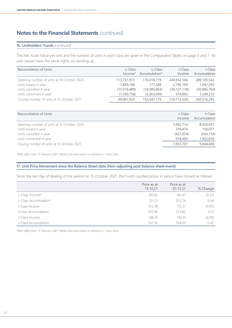### **16. Unitholders' Funds** *(continued)*

The Net Asset Value per unit and the number of units in each class are given in the Comparative Tables on page 6 and 7. All unit classes have the same rights on winding up.

| Reconciliation of Units                    | L-Class<br>$Income*$ | L-Class<br>Accumulation* | I-Class<br>Income | I-Class<br>Accumulation |
|--------------------------------------------|----------------------|--------------------------|-------------------|-------------------------|
| Opening number of units at 16 October 2020 | 113,737,973          | 176,018,719              | 244,932,564       | 289,105,542             |
| Units issued in year                       | 1,850,196            | 177,368                  | 2,793,169         | 1,047,293               |
| Units cancelled in year                    | (15,019,489)         | (19,385,863)             | (30, 127, 178)    | (30, 885, 760)          |
| Units converted in year                    | (1,500,756)          | (3,263,045)              | 574,003           | 1,249,210               |
| Closing number of units at 15 October 2021 | 99,067,924           | 153,547,179              | 218,172,558       | 260,516,285             |

| Reconciliation of Units                    | J-Class    | J-Class      |
|--------------------------------------------|------------|--------------|
|                                            | Income     | Accumulation |
| Opening number of units at 16 October 2020 | 7,062,714  | 8,420,431    |
| Units issued in year                       | 376,474    | 156,077      |
| Units cancelled in year                    | (423, 974) | (654, 718)   |
| Units converted in year                    | 918,493    | 1,922,810    |
| Closing number of units at 15 October 2021 | 7,933,707  | 9,844,600    |
|                                            |            |              |

*\*With effect from 15 February 2021, Retail Units have been re-named as L-Class Units.*

### **17. Unit Price Movement since the Balance Sheet date (Non-adjusting post balance sheet event)**

Since the last day of dealing of the period on 15 October 2021, the Fund's quoted prices in pence have moved as follows:

|                       | Price as at<br>15.10.21 | Price as at<br>01.12.21 | % Change |
|-----------------------|-------------------------|-------------------------|----------|
| L-Class Income*       | 145.65                  | 145.47                  | (0.12)   |
| L-Class Accumulation* | 351.21                  | 352.74                  | 0.44     |
| I-Class Income        | 155.38                  | 155.31                  | (0.05)   |
| I-Class Accumulation  | 372.90                  | 374.82                  | 0.51     |
| J-Class Income        | 146.14                  | 146.01                  | (0.09)   |
| J-Class Accumulation  | 352.39                  | 354.03                  | 0.47     |

*\*With effect from 15 February 2021, Retail Units have been re-named as L-Class Units.*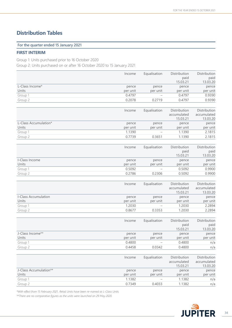## <span id="page-36-0"></span>**Distribution Tables**

### **For the quarter ended 15 January 2021**

### **FIRST INTERIM**

Group 1: Units purchased prior to 16 October 2020

Group 2: Units purchased on or after 16 October 2020 to 15 January 2021

|                             | Income   | Equalisation             | Distribution     | Distribution     |
|-----------------------------|----------|--------------------------|------------------|------------------|
|                             |          |                          | paid<br>15.03.21 | paid<br>13.03.20 |
| L-Class Income*             | pence    | pence                    | pence            | pence            |
| Units                       | per unit | per unit                 | per unit         | per unit         |
| Group 1                     | 0.4797   | $\overline{\phantom{0}}$ | 0.4797           | 0.9390           |
| Group 2                     | 0.2078   | 0.2719                   | 0.4797           | 0.9390           |
|                             |          |                          |                  |                  |
|                             | Income   | Equalisation             | Distribution     | Distribution     |
|                             |          |                          | accumulated      | accumulated      |
|                             |          |                          | 15.03.21         | 13.03.20         |
| L-Class Accumulation*       | pence    | pence                    | pence            | pence            |
| Units                       | per unit | per unit                 | per unit         | per unit         |
| Group 1                     | 1.1390   | $\overline{\phantom{0}}$ | 1.1390           | 2.1815           |
| Group 2                     | 0.7739   | 0.3651                   | 1.1390           | 2.1815           |
|                             |          |                          |                  |                  |
|                             | Income   | Equalisation             | Distribution     | Distribution     |
|                             |          |                          | paid             | paid             |
|                             |          |                          | 15.03.21         | 13.03.20         |
| I-Class Income              | pence    | pence                    | pence            | pence            |
| Units                       | per unit | per unit                 | per unit         | per unit         |
| Group 1                     | 0.5092   | $\overline{\phantom{0}}$ | 0.5092           | 0.9900           |
| Group 2                     | 0.2786   | 0.2306                   | 0.5092           | 0.9900           |
|                             | Income   | Equalisation             | Distribution     | Distribution     |
|                             |          |                          | accumulated      | accumulated      |
|                             |          |                          | 15.03.21         | 13.03.20         |
| <b>I-Class Accumulation</b> | pence    | pence                    | pence            | pence            |
| Units                       | per unit | per unit                 | per unit         | per unit         |
| Group 1                     | 1.2030   | $\qquad \qquad -$        | 1.2030           | 2.2894           |
| Group 2                     | 0.8677   | 0.3353                   | 1.2030           | 2.2894           |
|                             |          |                          |                  |                  |
|                             | Income   | Equalisation             | Distribution     | Distribution     |
|                             |          |                          | paid             | paid             |
|                             |          |                          | 15.03.21         | 13.03.20         |
| J-Class Income**            | pence    | pence                    | pence            | pence            |
| Units                       | per unit | per unit                 | per unit         | per unit         |
| Group 1                     | 0.4800   | $\overline{\phantom{0}}$ | 0.4800           | n/a              |
| Group 2                     | 0.4458   | 0.0342                   | 0.4800           | n/a              |
|                             |          |                          |                  |                  |
|                             | Income   | Equalisation             | Distribution     | Distribution     |
|                             |          |                          | accumulated      | accumulated      |
|                             |          |                          | 15.03.21         | 13.03.20         |
| J-Class Accumulation**      | pence    | pence                    | pence            | pence            |
| Units                       | per unit | per unit                 | per unit         | per unit         |
| Group 1                     | 1.1382   |                          | 1.1382           | n/a              |
| Group 2                     | 0.7349   | 0.4033                   | 1.1382           | n/a              |

*\*With effect from 15 February 2021, Retail Units have been re-named as L-Class Units.*

*\*\*There are no comparative figures as the units were launched on 29 May 2020.*

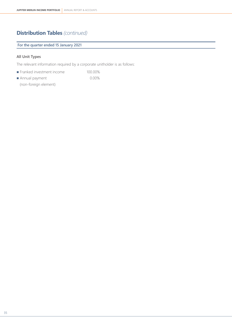### **For the quarter ended 15 January 2021**

### **All Unit Types**

The relevant information required by a corporate unitholder is as follows:

- Franked investment income 100.00%
- Annual payment 0.00%

(non-foreign element)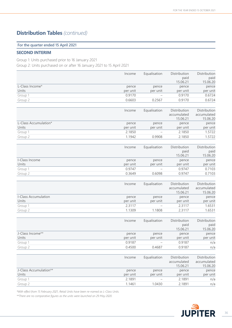### **For the quarter ended 15 April 2021**

### **SECOND INTERIM**

Group 1: Units purchased prior to 16 January 2021

Group 2: Units purchased on or after 16 January 2021 to 15 April 2021

|                             | Income             | Equalisation             | Distribution      | Distribution      |
|-----------------------------|--------------------|--------------------------|-------------------|-------------------|
|                             |                    |                          | paid              | paid              |
|                             |                    |                          | 15.06.21          | 15.06.20          |
| L-Class Income*<br>Units    | pence              | pence                    | pence<br>per unit | pence             |
|                             | per unit<br>0.9170 | per unit                 | 0.9170            | per unit          |
| Group 1                     |                    | $\overline{\phantom{0}}$ |                   | 0.6724            |
| Group 2                     | 0.6603             | 0.2567                   | 0.9170            | 0.6724            |
|                             | Income             | Equalisation             | Distribution      | Distribution      |
|                             |                    |                          | accumulated       | accumulated       |
|                             |                    |                          | 15.06.21          | 15.06.20          |
| L-Class Accumulation*       | pence              | pence                    | pence             | pence             |
| Units                       | per unit           | per unit                 | per unit          | per unit          |
| Group 1                     | 2.1850             | $\qquad \qquad -$        | 2.1850            | 1.5722            |
| Group 2                     | 1.1942             | 0.9908                   | 2.1850            | 1.5722            |
|                             |                    |                          |                   |                   |
|                             | Income             | Equalisation             | Distribution      | Distribution      |
|                             |                    |                          | paid              | paid              |
|                             |                    |                          | 15.06.21          | 15.06.20          |
| I-Class Income              | pence              | pence                    | pence             | pence             |
| Units                       | per unit           | per unit                 | per unit          | per unit          |
| Group 1                     | 0.9747             | $\qquad \qquad -$        | 0.9747            | 0.7103            |
| Group 2                     | 0.3649             | 0.6098                   | 0.9747            | 0.7103            |
|                             | Income             | Equalisation             | Distribution      | Distribution      |
|                             |                    |                          | accumulated       | accumulated       |
|                             |                    |                          | 15.06.21          | 15.06.20          |
| <b>I-Class Accumulation</b> | pence              | pence                    | pence             | pence             |
| Units                       | per unit           | per unit                 | per unit          | per unit          |
| Group 1                     | 2.3117             | $\qquad \qquad -$        | 2.3117            | 1.6531            |
| Group 2                     | 1.1309             | 1.1808                   | 2.3117            | 1.6531            |
|                             |                    |                          |                   |                   |
|                             | Income             | Equalisation             | Distribution      | Distribution      |
|                             |                    |                          | paid              | paid              |
|                             |                    |                          | 15.06.21          | 15.06.20          |
| J-Class Income**<br>Units   | pence              | pence                    | pence             | pence<br>per unit |
|                             | per unit           | per unit                 | per unit          |                   |
| Group 1                     | 0.9187             | $\qquad \qquad -$        | 0.9187            | n/a               |
| Group 2                     | 0.4500             | 0.4687                   | 0.9187            | n/a               |
|                             | Income             | Equalisation             | Distribution      | Distribution      |
|                             |                    |                          | accumulated       | accumulated       |
|                             |                    |                          | 15.06.21          | 15.06.20          |
| J-Class Accumulation**      | pence              | pence                    | pence             | pence             |
| Units                       | per unit           | per unit                 | per unit          | per unit          |
| Group 1                     | 2.1891             | $\qquad \qquad -$        | 2.1891            | n/a               |

Group 2 1.1461 1.0430 2.1891 1.1891 1.1891 1.1461 1.0430 2.1891 1.1891 1.1891 1.1891 1.1891 1.1891 1.1891 1.18

*\*With effect from 15 February 2021, Retail Units have been re-named as L-Class Units.*

*\*\*There are no comparative figures as the units were launched on 29 May 2020.*

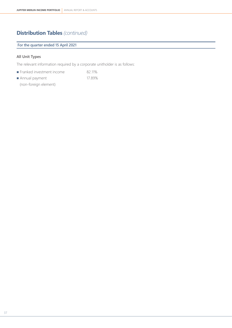### **For the quarter ended 15 April 2021**

### **All Unit Types**

The relevant information required by a corporate unitholder is as follows:

- Franked investment income 82.11%
- Annual payment 17.89%

(non-foreign element)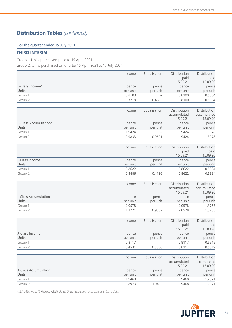### **For the quarter ended 15 July 2021**

### **THIRD INTERIM**

Group 1: Units purchased prior to 16 April 2021

Group 2: Units purchased on or after 16 April 2021 to 15 July 2021

|                       | Income            | Equalisation             | Distribution      | Distribution      |
|-----------------------|-------------------|--------------------------|-------------------|-------------------|
|                       |                   |                          | paid              | paid              |
|                       |                   |                          | 15.09.21          | 15.09.20          |
| L-Class Income*       | pence             | pence                    | pence             | pence             |
| Units                 | per unit          | per unit                 | per unit          | per unit          |
| Group 1               | 0.8100            | $\qquad \qquad -$        | 0.8100            | 0.5564            |
| Group 2               | 0.3218            | 0.4882                   | 0.8100            | 0.5564            |
|                       |                   |                          |                   |                   |
|                       | Income            | Equalisation             | Distribution      | Distribution      |
|                       |                   |                          | accumulated       | accumulated       |
|                       |                   |                          | 15.09.21          | 15.09.20          |
| L-Class Accumulation* | pence             | pence                    | pence             | pence             |
| Units                 | per unit          | per unit                 | per unit          | per unit          |
| Group 1               | 1.9424            | $\qquad \qquad -$        | 1.9424            | 1.3078            |
| Group 2               | 0.9833            | 0.9591                   | 1.9424            | 1.3078            |
|                       |                   |                          |                   |                   |
|                       | Income            | Equalisation             | Distribution      | Distribution      |
|                       |                   |                          | paid<br>15.09.21  | paid<br>15.09.20  |
| I-Class Income        |                   |                          |                   |                   |
| Units                 | pence<br>per unit | pence<br>per unit        | pence<br>per unit | pence<br>per unit |
| Group 1               | 0.8622            | $\qquad \qquad -$        | 0.8622            | 0.5884            |
|                       | 0.4486            | 0.4136                   | 0.8622            | 0.5884            |
| Group 2               |                   |                          |                   |                   |
|                       | Income            | Equalisation             | Distribution      | Distribution      |
|                       |                   |                          | accumulated       | accumulated       |
|                       |                   |                          | 15.09.21          | 15.09.20          |
| I-Class Accumulation  | pence             | pence                    | pence             | pence             |
| Units                 | per unit          | per unit                 | per unit          | per unit          |
| Group 1               | 2.0578            | $\overline{\phantom{0}}$ | 2.0578            | 1.3765            |
| Group 2               | 1.1221            | 0.9357                   | 2.0578            | 1.3765            |
|                       |                   |                          |                   |                   |
|                       | Income            | Equalisation             | Distribution      | Distribution      |
|                       |                   |                          | paid              | paid              |
|                       |                   |                          | 15.09.21          | 15.09.20          |
| J-Class Income        | pence             | pence                    | pence             | pence             |
| Units                 | per unit          | per unit                 | per unit          | per unit          |
| Group 1               | 0.8117            | $\qquad \qquad -$        | 0.8117            | 0.5519            |
| Group 2               | 0.4531            | 0.3586                   | 0.8117            | 0.5519            |
|                       | Income            | Equalisation             | Distribution      | Distribution      |
|                       |                   |                          | accumulated       | accumulated       |
|                       |                   |                          | 15.09.21          | 15.09.20          |
| J-Class Accumulation  | pence             | pence                    | pence             | pence             |
| Units                 | per unit          | per unit                 | per unit          | per unit          |
| Group 1               | 1.9468            |                          | 1.9468            | 1.2971            |
| Group 2               | 0.8973            | 1.0495                   | 1.9468            | 1.2971            |
|                       |                   |                          |                   |                   |

*\*With effect from 15 February 2021, Retail Units have been re-named as L-Class Units.*

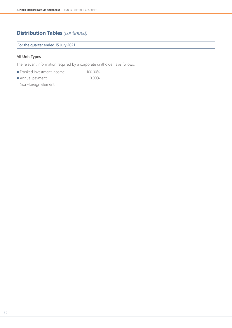### **For the quarter ended 15 July 2021**

### **All Unit Types**

The relevant information required by a corporate unitholder is as follows:

- Franked investment income 100.00%
- Annual payment 0.00%

(non-foreign element)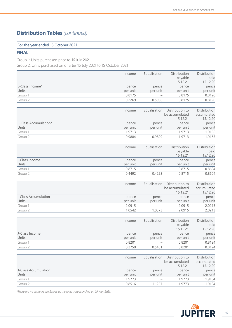### **For the year ended 15 October 2021**

### **FINAL**

Group 1: Units purchased prior to 16 July 2021

Group 2: Units purchased on or after 16 July 2021 to 15 October 2021

|                 | Income   | Equalisation | <b>Distribution</b> | Distribution |
|-----------------|----------|--------------|---------------------|--------------|
|                 |          |              | payable             | paid         |
|                 |          |              | 15.12.21            | 15.12.20     |
| L-Class Income* | pence    | pence        | pence               | pence        |
| Units           | per unit | per unit     | per unit            | per unit     |
| Group 1         | 0.8175   |              | 0.8175              | 0.8120       |
| Group 2         | 0.2269   | 0.5906       | 0.8175              | 0.8120       |
|                 | Income   | Equalisation | Distribution to     | Distribution |

|                       |          |                          | be accumulated<br>15.12.21 | accumulated<br>15.12.20 |
|-----------------------|----------|--------------------------|----------------------------|-------------------------|
| L-Class Accumulation* | pence    | pence                    | pence                      | pence                   |
| Units                 | per unit | per unit                 | per unit                   | per unit                |
| Group 1               | 1.9713   | $\overline{\phantom{m}}$ | 1.9713                     | 1.9165                  |
| Group 2               | 0.9884   | 0.9829                   | 1.9713                     | 1.9165                  |

|                | Income   | Equalisation             | <b>Distribution</b> | Distribution |
|----------------|----------|--------------------------|---------------------|--------------|
|                |          |                          | payable             | paid         |
|                |          |                          | 15.12.21            | 15.12.20     |
| I-Class Income | pence    | pence                    | pence               | pence        |
| Units          | per unit | per unit                 | per unit            | per unit     |
| Group 1        | 0.8715   | $\overline{\phantom{0}}$ | 0.8715              | 0.8604       |
| Group 2        | 0.4492   | 0.4223                   | 0.8715              | 0.8604       |

|                      | Income   | Equalisation | Distribution to | Distribution |
|----------------------|----------|--------------|-----------------|--------------|
|                      |          |              | be accumulated  | accumulated  |
|                      |          |              | 15.12.21        | 15.12.20     |
| I-Class Accumulation | pence    | pence        | pence           | pence        |
| Units                | per unit | per unit     | per unit        | per unit     |
| Group 1              | 2.0915   | —            | 2.0915          | 2.0213       |
| Group 2              | 1.0542   | 1.0373       | 2.0915          | 2.0213       |

|                | Income   | Equalisation    | <b>Distribution</b> | Distribution |
|----------------|----------|-----------------|---------------------|--------------|
|                |          |                 | payable             | paid         |
|                |          |                 | 15.12.21            | 15.12.20     |
| J-Class Income | pence    | pence           | pence               | pence        |
| Units          | per unit | per unit        | per unit            | per unit     |
| Group 1        | 0.8201   | $\qquad \qquad$ | 0.8201              | 0.8124       |
| Group 2        | 0.2750   | 0.5451          | 0.8201              | 0.8124       |

|                      | Income   | Equalisation | Distribution to | Distribution |
|----------------------|----------|--------------|-----------------|--------------|
|                      |          |              | be accumulated  | accumulated  |
|                      |          |              | 15.12.21        | 15.12.20     |
| J-Class Accumulation | pence    | pence        | pence           | pence        |
| Units                | per unit | per unit     | per unit        | per unit     |
| Group 1              | 1.9773   | -            | 1.9773          | 1.9184       |
| Group 2              | 0.8516   | 1.1257       | 1.9773          | 1.9184       |

*\*There are no comparative figures as the units were launched on 29 May 2021.*

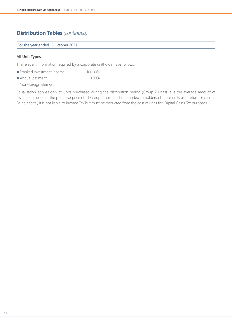### **For the year ended 15 October 2021**

### **All Unit Types**

The relevant information required by a corporate unitholder is as follows:

|  |  | ■ Franked investment income |  | 100.00% |  |  |
|--|--|-----------------------------|--|---------|--|--|
|--|--|-----------------------------|--|---------|--|--|

Annual payment 0.00%

(non-foreign element)

Equalisation applies only to units purchased during the distribution period (Group 2 units). It is the average amount of revenue included in the purchase price of all Group 2 units and is refunded to holders of these units as a return of capital. Being capital, it is not liable to Income Tax but must be deducted from the cost of units for Capital Gains Tax purposes.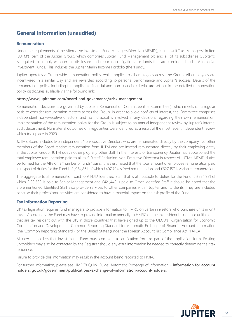## <span id="page-44-0"></span>**General Information (unaudited)**

### **Remuneration**

Under the requirements of the Alternative Investment Fund Managers Directive ('AIFMD'), Jupiter Unit Trust Managers Limited ('JUTM') (part of the Jupiter Group, which comprises Jupiter Fund Management plc and all of its subsidiaries ('Jupiter')) is required to comply with certain disclosure and reporting obligations for funds that are considered to be Alternative Investment Funds. This includes the Jupiter Merlin Income Portfolio (the 'Fund').

Jupiter operates a Group-wide remuneration policy, which applies to all employees across the Group. All employees are incentivised in a similar way and are rewarded according to personal performance and Jupiter's success. Details of the remuneration policy, including the applicable financial and non-financial criteria, are set out in the detailed remuneration policy disclosures available via the following link:

### **https://www.jupiteram.com/board-and-governance/#risk-management**

Remuneration decisions are governed by Jupiter's Remuneration Committee (the 'Committee'), which meets on a regular basis to consider remuneration matters across the Group. In order to avoid conflicts of interest, the Committee comprises independent non-executive directors, and no individual is involved in any decisions regarding their own remuneration. Implementation of the remuneration policy for the Group is subject to an annual independent review by Jupiter's internal audit department. No material outcomes or irregularities were identified as a result of the most recent independent review, which took place in 2020.

JUTM's Board includes two independent Non-Executive Directors who are remunerated directly by the company. No other members of the Board receive remuneration from JUTM and are instead remunerated directly by their employing entity in the Jupiter Group. JUTM does not employ any other staff. In the interests of transparency, Jupiter has apportioned the total employee remuneration paid to all its 510 staff (including Non-Executive Directors) in respect of JUTM's AIFMD duties performed for the AIFs on a "number of funds" basis. It has estimated that the total amount of employee remuneration paid in respect of duties for the Fund is £1,034,861, of which £407,704 is fixed remuneration and £627,157 is variable remuneration.

The aggregate total remuneration paid to AIFMD Identified Staff that is attributable to duties for the Fund is £554,981 of which £133,533 is paid to Senior Management and £421,448 is paid to Other Identified Staff. It should be noted that the aforementioned Identified Staff also provide services to other companies within Jupiter and its clients. They are included because their professional activities are considered to have a material impact on the risk profile of the Fund.

### **Tax Information Reporting**

UK tax legislation requires fund managers to provide information to HMRC on certain investors who purchase units in unit trusts. Accordingly, the Fund may have to provide information annually to HMRC on the tax residencies of those unitholders that are tax resident out with the UK, in those countries that have signed up to the OECD's ('Organisation for Economic Cooperation and Development') Common Reporting Standard for Automatic Exchange of Financial Account Information (the 'Common Reporting Standard'), or the United States (under the Foreign Account Tax Compliance Act, 'FATCA').

All new unitholders that invest in the Fund must complete a certification form as part of the application form. Existing unitholders may also be contacted by the Registrar should any extra information be needed to correctly determine their tax residence.

Failure to provide this information may result in the account being reported to HMRC.

For further information, please see HMRC's Quick Guide: Automatic Exchange of Information – **information for account holders: gov.uk/government/publications/exchange-of-information-account-holders.** 

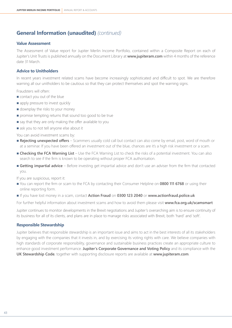## **General Information (unaudited)** *(continued)*

### **Value Assessment**

The Assessment of Value report for Jupiter Merlin Income Portfolio, contained within a Composite Report on each of Jupiter's Unit Trusts is published annually on the Document Library at **www.jupiteram.com** within 4 months of the reference date 31 March.

### **Advice to Unitholders**

In recent years investment related scams have become increasingly sophisticated and difficult to spot. We are therefore warning all our unitholders to be cautious so that they can protect themselves and spot the warning signs.

Fraudsters will often:

- contact you out of the blue
- **apply pressure to invest quickly**
- **downplay the risks to your money**
- **promise tempting returns that sound too good to be true**
- say that they are only making the offer available to you
- ask you to not tell anyone else about it

You can avoid investment scams by:

- **Rejecting unexpected offers**  Scammers usually cold call but contact can also come by email, post, word of mouth or at a seminar. If you have been offered an investment out of the blue, chances are it's a high risk investment or a scam.
- **Checking the FCA Warning List** Use the FCA Warning List to check the risks of a potential investment. You can also search to see if the firm is known to be operating without proper FCA authorisation.
- **Getting impartial advice** Before investing get impartial advice and don't use an adviser from the firm that contacted you.

If you are suspicious, report it:

- You can report the firm or scam to the FCA by contacting their Consumer Helpline on **0800 111 6768** or using their online reporting form.
- If you have lost money in a scam, contact **Action Fraud** on **0300 123 2040** or **www.actionfraud.police.uk**

For further helpful information about investment scams and how to avoid them please visit **www.fca.org.uk/scamsmart**

Jupiter continues to monitor developments in the Brexit negotiations and Jupiter's overarching aim is to ensure continuity of its business for all of its clients, and plans are in place to manage risks associated with Brexit, both 'hard' and 'soft'.

### **Responsible Stewardship**

Jupiter believes that responsible stewardship is an important issue and aims to act in the best interests of all its stakeholders by engaging with the companies that it invests in, and by exercising its voting rights with care. We believe companies with high standards of corporate responsibility, governance and sustainable business practices create an appropriate culture to enhance good investment performance. **Jupiter's Corporate Governance and Voting Policy** and its compliance with the **UK Stewardship Code**, together with supporting disclosure reports are available at **www.jupiteram.com**.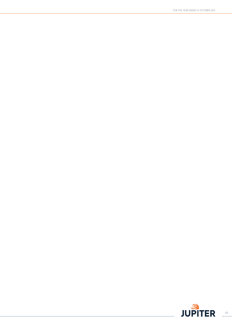

44